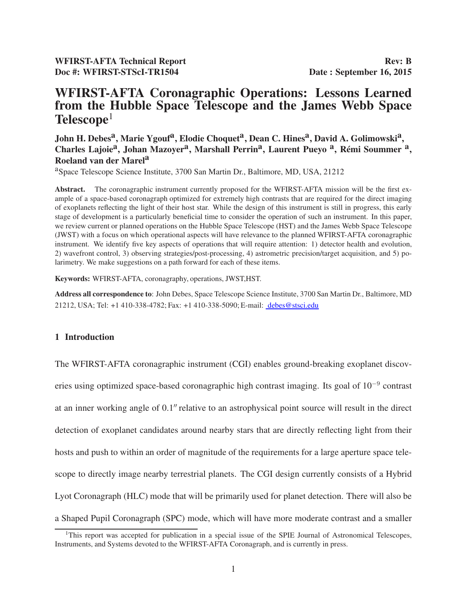## WFIRST-AFTA Coronagraphic Operations: Lessons Learned from the Hubble Space Telescope and the James Webb Space  $\textbf{Telescope}^1$

John H. Debes<sup>a</sup>, Marie Ygouf<sup>a</sup>, Elodie Choquet<sup>a</sup>, Dean C. Hines<sup>a</sup>, David A. Golimowski<sup>a</sup>, Charles Lajoie<sup>a</sup>, Johan Mazoyer<sup>a</sup>, Marshall Perrin<sup>a</sup>, Laurent Pueyo<sup>a</sup>, Rémi Soummer<sup>a</sup>, Roeland van der Marel<sup>a</sup>

aSpace Telescope Science Institute, 3700 San Martin Dr., Baltimore, MD, USA, 21212

Abstract. The coronagraphic instrument currently proposed for the WFIRST-AFTA mission will be the first example of a space-based coronagraph optimized for extremely high contrasts that are required for the direct imaging of exoplanets reflecting the light of their host star. While the design of this instrument is still in progress, this early stage of development is a particularly beneficial time to consider the operation of such an instrument. In this paper, we review current or planned operations on the Hubble Space Telescope (HST) and the James Webb Space Telescope (JWST) with a focus on which operational aspects will have relevance to the planned WFIRST-AFTA coronagraphic instrument. We identify five key aspects of operations that will require attention: 1) detector health and evolution, 2) wavefront control, 3) observing strategies/post-processing, 4) astrometric precision/target acquisition, and 5) polarimetry. We make suggestions on a path forward for each of these items.

Keywords: WFIRST-AFTA, coronagraphy, operations, JWST,HST.

Address all correspondence to: John Debes, Space Telescope Science Institute, 3700 San Martin Dr., Baltimore, MD 21212, USA; Tel: +1 410-338-4782; Fax: +1 410-338-5090; E-mail: debes@stsci.edu

#### 1 Introduction

The WFIRST-AFTA coronagraphic instrument (CGI) enables ground-breaking exoplanet discoveries using optimized space-based coronagraphic high contrast imaging. Its goal of 10<sup>-9</sup> contrast at an inner working angle of 0.1′′ relative to an astrophysical point source will result in the direct detection of exoplanet candidates around nearby stars that are directly reflecting light from their hosts and push to within an order of magnitude of the requirements for a large aperture space telescope to directly image nearby terrestrial planets. The CGI design currently consists of a Hybrid Lyot Coronagraph (HLC) mode that will be primarily used for planet detection. There will also be a Shaped Pupil Coronagraph (SPC) mode, which will have more moderate contrast and a smaller

<sup>&</sup>lt;sup>1</sup>This report was accepted for publication in a special issue of the SPIE Journal of Astronomical Telescopes, Instruments, and Systems devoted to the WFIRST-AFTA Coronagraph, and is currently in press.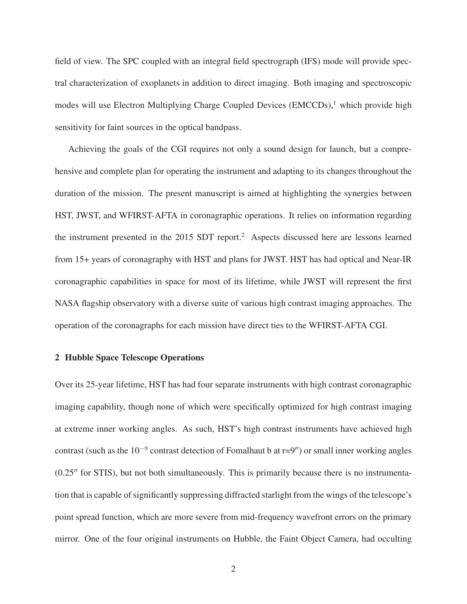field of view. The SPC coupled with an integral field spectrograph (IFS) mode will provide spectral characterization of exoplanets in addition to direct imaging. Both imaging and spectroscopic modes will use Electron Multiplying Charge Coupled Devices (EMCCDs), $<sup>1</sup>$  which provide high</sup> sensitivity for faint sources in the optical bandpass.

Achieving the goals of the CGI requires not only a sound design for launch, but a comprehensive and complete plan for operating the instrument and adapting to its changes throughout the duration of the mission. The present manuscript is aimed at highlighting the synergies between HST, JWST, and WFIRST-AFTA in coronagraphic operations. It relies on information regarding the instrument presented in the 2015 SDT report.<sup>2</sup> Aspects discussed here are lessons learned from 15+ years of coronagraphy with HST and plans for JWST. HST has had optical and Near-IR coronagraphic capabilities in space for most of its lifetime, while JWST will represent the first NASA flagship observatory with a diverse suite of various high contrast imaging approaches. The operation of the coronagraphs for each mission have direct ties to the WFIRST-AFTA CGI.

#### 2 Hubble Space Telescope Operations

Over its 25-year lifetime, HST has had four separate instruments with high contrast coronagraphic imaging capability, though none of which were specifically optimized for high contrast imaging at extreme inner working angles. As such, HST's high contrast instruments have achieved high contrast (such as the 10<sup>-9</sup> contrast detection of Fomalhaut b at  $r=9''$ ) or small inner working angles (0.25′′ for STIS), but not both simultaneously. This is primarily because there is no instrumentation that is capable of significantly suppressing diffracted starlight from the wings of the telescope's point spread function, which are more severe from mid-frequency wavefront errors on the primary mirror. One of the four original instruments on Hubble, the Faint Object Camera, had occulting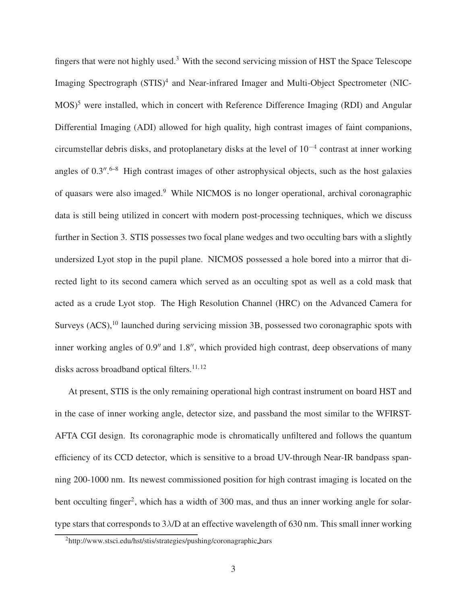fingers that were not highly used.<sup>3</sup> With the second servicing mission of HST the Space Telescope Imaging Spectrograph (STIS)<sup>4</sup> and Near-infrared Imager and Multi-Object Spectrometer (NIC- $MOS$ <sup>5</sup> were installed, which in concert with Reference Difference Imaging (RDI) and Angular Differential Imaging (ADI) allowed for high quality, high contrast images of faint companions, circumstellar debris disks, and protoplanetary disks at the level of 10<sup>−</sup><sup>4</sup> contrast at inner working angles of 0.3".<sup>6-8</sup> High contrast images of other astrophysical objects, such as the host galaxies of quasars were also imaged.<sup>9</sup> While NICMOS is no longer operational, archival coronagraphic data is still being utilized in concert with modern post-processing techniques, which we discuss further in Section 3. STIS possesses two focal plane wedges and two occulting bars with a slightly undersized Lyot stop in the pupil plane. NICMOS possessed a hole bored into a mirror that directed light to its second camera which served as an occulting spot as well as a cold mask that acted as a crude Lyot stop. The High Resolution Channel (HRC) on the Advanced Camera for Surveys (ACS),<sup>10</sup> launched during servicing mission 3B, possessed two coronagraphic spots with inner working angles of 0.9′′ and 1.8′′, which provided high contrast, deep observations of many disks across broadband optical filters.<sup>11, 12</sup>

At present, STIS is the only remaining operational high contrast instrument on board HST and in the case of inner working angle, detector size, and passband the most similar to the WFIRST-AFTA CGI design. Its coronagraphic mode is chromatically unfiltered and follows the quantum efficiency of its CCD detector, which is sensitive to a broad UV-through Near-IR bandpass spanning 200-1000 nm. Its newest commissioned position for high contrast imaging is located on the bent occulting finger<sup>2</sup>, which has a width of 300 mas, and thus an inner working angle for solartype stars that corresponds to 3λ/D at an effective wavelength of 630 nm. This small inner working

<sup>2</sup>http://www.stsci.edu/hst/stis/strategies/pushing/coronagraphic bars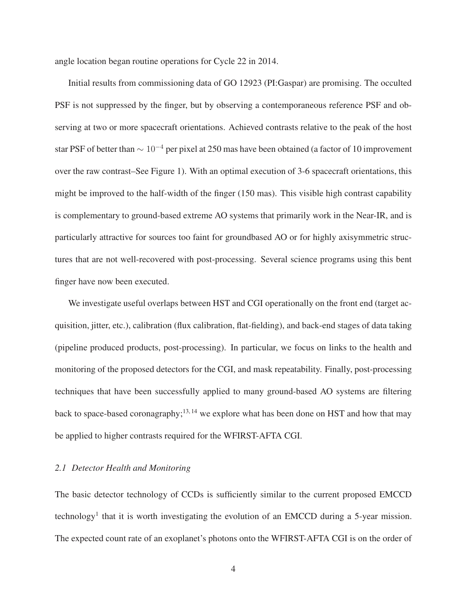angle location began routine operations for Cycle 22 in 2014.

Initial results from commissioning data of GO 12923 (PI:Gaspar) are promising. The occulted PSF is not suppressed by the finger, but by observing a contemporaneous reference PSF and observing at two or more spacecraft orientations. Achieved contrasts relative to the peak of the host star PSF of better than  $\sim 10^{-4}$  per pixel at 250 mas have been obtained (a factor of 10 improvement over the raw contrast–See Figure 1). With an optimal execution of 3-6 spacecraft orientations, this might be improved to the half-width of the finger (150 mas). This visible high contrast capability is complementary to ground-based extreme AO systems that primarily work in the Near-IR, and is particularly attractive for sources too faint for groundbased AO or for highly axisymmetric structures that are not well-recovered with post-processing. Several science programs using this bent finger have now been executed.

We investigate useful overlaps between HST and CGI operationally on the front end (target acquisition, jitter, etc.), calibration (flux calibration, flat-fielding), and back-end stages of data taking (pipeline produced products, post-processing). In particular, we focus on links to the health and monitoring of the proposed detectors for the CGI, and mask repeatability. Finally, post-processing techniques that have been successfully applied to many ground-based AO systems are filtering back to space-based coronagraphy;<sup>13, 14</sup> we explore what has been done on HST and how that may be applied to higher contrasts required for the WFIRST-AFTA CGI.

#### *2.1 Detector Health and Monitoring*

The basic detector technology of CCDs is sufficiently similar to the current proposed EMCCD technology<sup>1</sup> that it is worth investigating the evolution of an EMCCD during a 5-year mission. The expected count rate of an exoplanet's photons onto the WFIRST-AFTA CGI is on the order of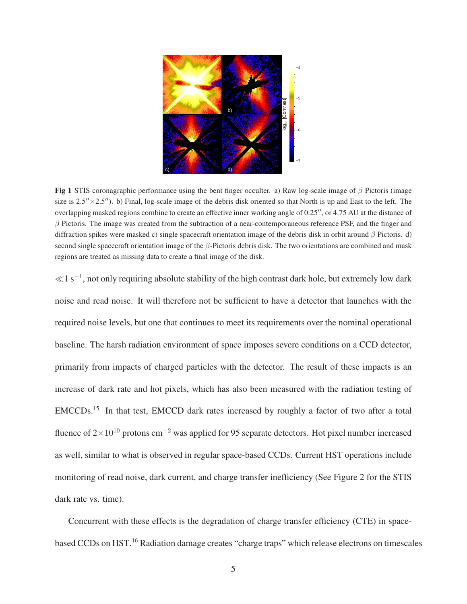

Fig 1 STIS coronagraphic performance using the bent finger occulter. a) Raw log-scale image of  $\beta$  Pictoris (image size is  $2.5'' \times 2.5''$ ). b) Final, log-scale image of the debris disk oriented so that North is up and East to the left. The overlapping masked regions combine to create an effective inner working angle of 0.25′′, or 4.75 AU at the distance of  $\beta$  Pictoris. The image was created from the subtraction of a near-contemporaneous reference PSF, and the finger and diffraction spikes were masked c) single spacecraft orientation image of the debris disk in orbit around  $\beta$  Pictoris. d) second single spacecraft orientation image of the  $\beta$ -Pictoris debris disk. The two orientations are combined and mask regions are treated as missing data to create a final image of the disk.

<sup>≪</sup>1 s<sup>−</sup><sup>1</sup> , not only requiring absolute stability of the high contrast dark hole, but extremely low dark noise and read noise. It will therefore not be sufficient to have a detector that launches with the required noise levels, but one that continues to meet its requirements over the nominal operational baseline. The harsh radiation environment of space imposes severe conditions on a CCD detector, primarily from impacts of charged particles with the detector. The result of these impacts is an increase of dark rate and hot pixels, which has also been measured with the radiation testing of EMCCDs.<sup>15</sup> In that test, EMCCD dark rates increased by roughly a factor of two after a total fluence of  $2\times10^{10}$  protons cm<sup>-2</sup> was applied for 95 separate detectors. Hot pixel number increased as well, similar to what is observed in regular space-based CCDs. Current HST operations include monitoring of read noise, dark current, and charge transfer inefficiency (See Figure 2 for the STIS dark rate vs. time).

Concurrent with these effects is the degradation of charge transfer efficiency (CTE) in spacebased CCDs on HST.<sup>16</sup> Radiation damage creates "charge traps" which release electrons on timescales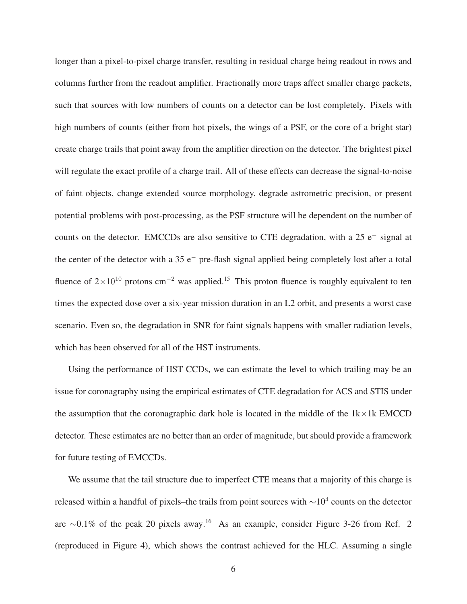longer than a pixel-to-pixel charge transfer, resulting in residual charge being readout in rows and columns further from the readout amplifier. Fractionally more traps affect smaller charge packets, such that sources with low numbers of counts on a detector can be lost completely. Pixels with high numbers of counts (either from hot pixels, the wings of a PSF, or the core of a bright star) create charge trails that point away from the amplifier direction on the detector. The brightest pixel will regulate the exact profile of a charge trail. All of these effects can decrease the signal-to-noise of faint objects, change extended source morphology, degrade astrometric precision, or present potential problems with post-processing, as the PSF structure will be dependent on the number of counts on the detector. EMCCDs are also sensitive to CTE degradation, with a 25 e<sup>−</sup> signal at the center of the detector with a 35 e<sup>−</sup> pre-flash signal applied being completely lost after a total fluence of  $2\times10^{10}$  protons cm<sup>-2</sup> was applied.<sup>15</sup> This proton fluence is roughly equivalent to ten times the expected dose over a six-year mission duration in an L2 orbit, and presents a worst case scenario. Even so, the degradation in SNR for faint signals happens with smaller radiation levels, which has been observed for all of the HST instruments.

Using the performance of HST CCDs, we can estimate the level to which trailing may be an issue for coronagraphy using the empirical estimates of CTE degradation for ACS and STIS under the assumption that the coronagraphic dark hole is located in the middle of the  $1k \times 1k$  EMCCD detector. These estimates are no better than an order of magnitude, but should provide a framework for future testing of EMCCDs.

We assume that the tail structure due to imperfect CTE means that a majority of this charge is released within a handful of pixels–the trails from point sources with  $\sim$ 10<sup>4</sup> counts on the detector are ∼0.1% of the peak 20 pixels away.<sup>16</sup> As an example, consider Figure 3-26 from Ref. 2 (reproduced in Figure 4), which shows the contrast achieved for the HLC. Assuming a single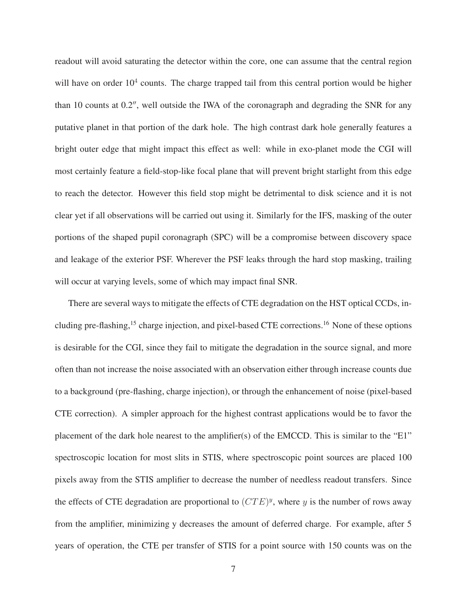readout will avoid saturating the detector within the core, one can assume that the central region will have on order  $10<sup>4</sup>$  counts. The charge trapped tail from this central portion would be higher than 10 counts at 0.2′′, well outside the IWA of the coronagraph and degrading the SNR for any putative planet in that portion of the dark hole. The high contrast dark hole generally features a bright outer edge that might impact this effect as well: while in exo-planet mode the CGI will most certainly feature a field-stop-like focal plane that will prevent bright starlight from this edge to reach the detector. However this field stop might be detrimental to disk science and it is not clear yet if all observations will be carried out using it. Similarly for the IFS, masking of the outer portions of the shaped pupil coronagraph (SPC) will be a compromise between discovery space and leakage of the exterior PSF. Wherever the PSF leaks through the hard stop masking, trailing will occur at varying levels, some of which may impact final SNR.

There are several ways to mitigate the effects of CTE degradation on the HST optical CCDs, including pre-flashing,<sup>15</sup> charge injection, and pixel-based CTE corrections.<sup>16</sup> None of these options is desirable for the CGI, since they fail to mitigate the degradation in the source signal, and more often than not increase the noise associated with an observation either through increase counts due to a background (pre-flashing, charge injection), or through the enhancement of noise (pixel-based CTE correction). A simpler approach for the highest contrast applications would be to favor the placement of the dark hole nearest to the amplifier(s) of the EMCCD. This is similar to the "E1" spectroscopic location for most slits in STIS, where spectroscopic point sources are placed 100 pixels away from the STIS amplifier to decrease the number of needless readout transfers. Since the effects of CTE degradation are proportional to  $(TTE)^y$ , where y is the number of rows away from the amplifier, minimizing y decreases the amount of deferred charge. For example, after 5 years of operation, the CTE per transfer of STIS for a point source with 150 counts was on the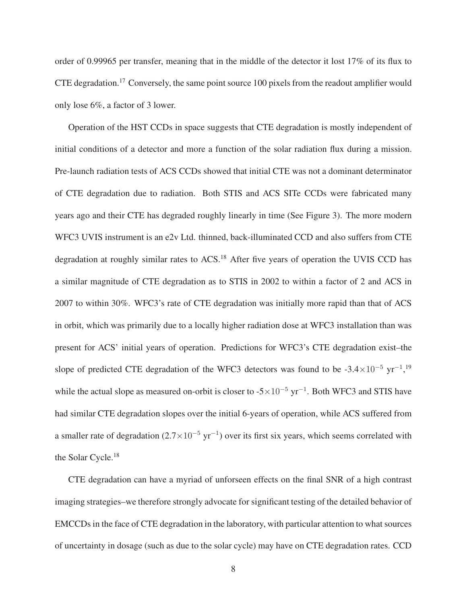order of 0.99965 per transfer, meaning that in the middle of the detector it lost 17% of its flux to CTE degradation.<sup>17</sup> Conversely, the same point source 100 pixels from the readout amplifier would only lose 6%, a factor of 3 lower.

Operation of the HST CCDs in space suggests that CTE degradation is mostly independent of initial conditions of a detector and more a function of the solar radiation flux during a mission. Pre-launch radiation tests of ACS CCDs showed that initial CTE was not a dominant determinator of CTE degradation due to radiation. Both STIS and ACS SITe CCDs were fabricated many years ago and their CTE has degraded roughly linearly in time (See Figure 3). The more modern WFC3 UVIS instrument is an e2v Ltd. thinned, back-illuminated CCD and also suffers from CTE degradation at roughly similar rates to ACS.<sup>18</sup> After five years of operation the UVIS CCD has a similar magnitude of CTE degradation as to STIS in 2002 to within a factor of 2 and ACS in 2007 to within 30%. WFC3's rate of CTE degradation was initially more rapid than that of ACS in orbit, which was primarily due to a locally higher radiation dose at WFC3 installation than was present for ACS' initial years of operation. Predictions for WFC3's CTE degradation exist–the slope of predicted CTE degradation of the WFC3 detectors was found to be  $-3.4 \times 10^{-5}$  yr<sup>-1</sup>,<sup>19</sup> while the actual slope as measured on-orbit is closer to  $-5 \times 10^{-5}$  yr<sup>-1</sup>. Both WFC3 and STIS have had similar CTE degradation slopes over the initial 6-years of operation, while ACS suffered from a smaller rate of degradation  $(2.7 \times 10^{-5} \text{ yr}^{-1})$  over its first six years, which seems correlated with the Solar Cycle.<sup>18</sup>

CTE degradation can have a myriad of unforseen effects on the final SNR of a high contrast imaging strategies–we therefore strongly advocate for significant testing of the detailed behavior of EMCCDs in the face of CTE degradation in the laboratory, with particular attention to what sources of uncertainty in dosage (such as due to the solar cycle) may have on CTE degradation rates. CCD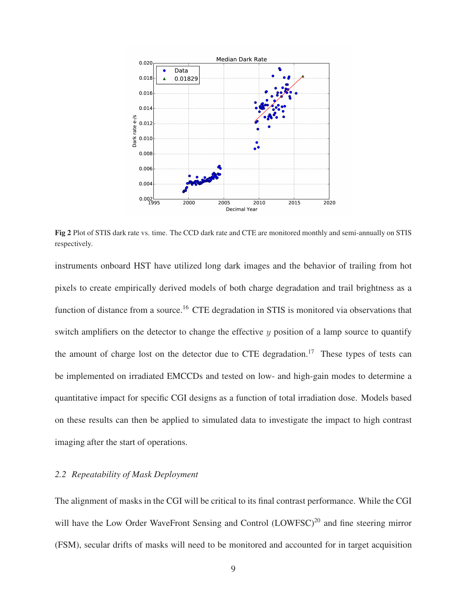

Fig 2 Plot of STIS dark rate vs. time. The CCD dark rate and CTE are monitored monthly and semi-annually on STIS respectively.

instruments onboard HST have utilized long dark images and the behavior of trailing from hot pixels to create empirically derived models of both charge degradation and trail brightness as a function of distance from a source.<sup>16</sup> CTE degradation in STIS is monitored via observations that switch amplifiers on the detector to change the effective  $\psi$  position of a lamp source to quantify the amount of charge lost on the detector due to CTE degradation.<sup>17</sup> These types of tests can be implemented on irradiated EMCCDs and tested on low- and high-gain modes to determine a quantitative impact for specific CGI designs as a function of total irradiation dose. Models based on these results can then be applied to simulated data to investigate the impact to high contrast imaging after the start of operations.

#### *2.2 Repeatability of Mask Deployment*

The alignment of masks in the CGI will be critical to its final contrast performance. While the CGI will have the Low Order WaveFront Sensing and Control (LOWFSC)<sup>20</sup> and fine steering mirror (FSM), secular drifts of masks will need to be monitored and accounted for in target acquisition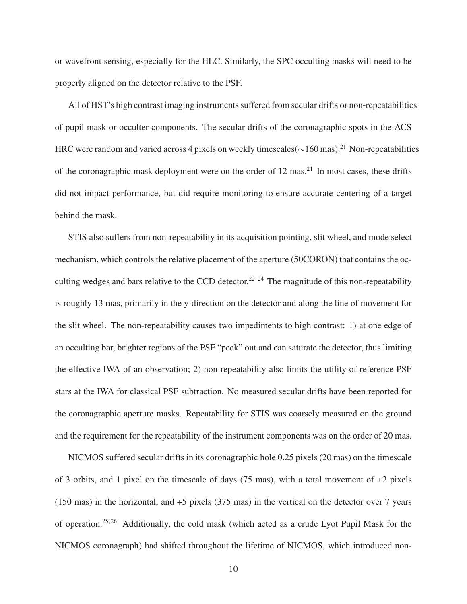or wavefront sensing, especially for the HLC. Similarly, the SPC occulting masks will need to be properly aligned on the detector relative to the PSF.

All of HST's high contrast imaging instruments suffered from secular drifts or non-repeatabilities of pupil mask or occulter components. The secular drifts of the coronagraphic spots in the ACS HRC were random and varied across 4 pixels on weekly timescales(∼160 mas).<sup>21</sup> Non-repeatabilities of the coronagraphic mask deployment were on the order of  $12 \text{ mas}^{21}$ . In most cases, these drifts did not impact performance, but did require monitoring to ensure accurate centering of a target behind the mask.

STIS also suffers from non-repeatability in its acquisition pointing, slit wheel, and mode select mechanism, which controls the relative placement of the aperture (50CORON) that contains the occulting wedges and bars relative to the CCD detector.<sup>22–24</sup> The magnitude of this non-repeatability is roughly 13 mas, primarily in the y-direction on the detector and along the line of movement for the slit wheel. The non-repeatability causes two impediments to high contrast: 1) at one edge of an occulting bar, brighter regions of the PSF "peek" out and can saturate the detector, thus limiting the effective IWA of an observation; 2) non-repeatability also limits the utility of reference PSF stars at the IWA for classical PSF subtraction. No measured secular drifts have been reported for the coronagraphic aperture masks. Repeatability for STIS was coarsely measured on the ground and the requirement for the repeatability of the instrument components was on the order of 20 mas.

NICMOS suffered secular drifts in its coronagraphic hole 0.25 pixels (20 mas) on the timescale of 3 orbits, and 1 pixel on the timescale of days  $(75 \text{ mas})$ , with a total movement of  $+2$  pixels (150 mas) in the horizontal, and +5 pixels (375 mas) in the vertical on the detector over 7 years of operation.25, 26 Additionally, the cold mask (which acted as a crude Lyot Pupil Mask for the NICMOS coronagraph) had shifted throughout the lifetime of NICMOS, which introduced non-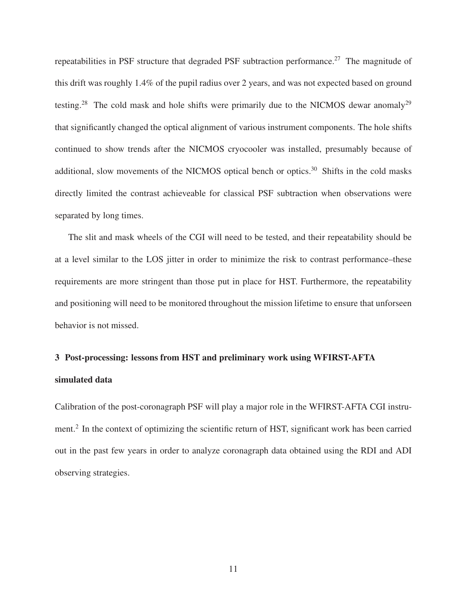repeatabilities in PSF structure that degraded PSF subtraction performance.<sup>27</sup> The magnitude of this drift was roughly 1.4% of the pupil radius over 2 years, and was not expected based on ground testing.<sup>28</sup> The cold mask and hole shifts were primarily due to the NICMOS dewar anomaly<sup>29</sup> that significantly changed the optical alignment of various instrument components. The hole shifts continued to show trends after the NICMOS cryocooler was installed, presumably because of additional, slow movements of the NICMOS optical bench or optics. $30$  Shifts in the cold masks directly limited the contrast achieveable for classical PSF subtraction when observations were separated by long times.

The slit and mask wheels of the CGI will need to be tested, and their repeatability should be at a level similar to the LOS jitter in order to minimize the risk to contrast performance–these requirements are more stringent than those put in place for HST. Furthermore, the repeatability and positioning will need to be monitored throughout the mission lifetime to ensure that unforseen behavior is not missed.

## 3 Post-processing: lessons from HST and preliminary work using WFIRST-AFTA simulated data

Calibration of the post-coronagraph PSF will play a major role in the WFIRST-AFTA CGI instrument.<sup>2</sup> In the context of optimizing the scientific return of HST, significant work has been carried out in the past few years in order to analyze coronagraph data obtained using the RDI and ADI observing strategies.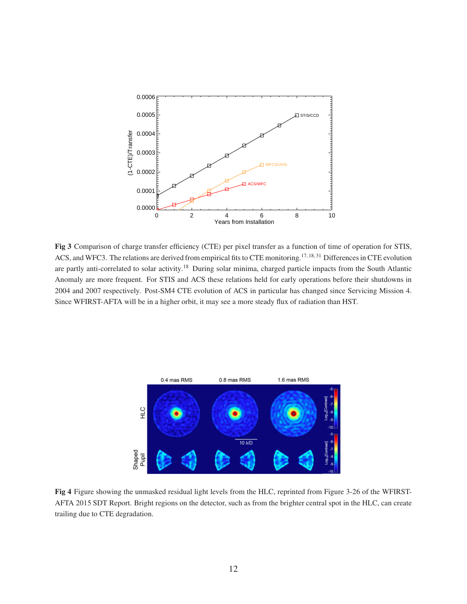

Fig 3 Comparison of charge transfer efficiency (CTE) per pixel transfer as a function of time of operation for STIS, ACS, and WFC3. The relations are derived from empirical fits to CTE monitoring.<sup>17, 18, 31</sup> Differences in CTE evolution are partly anti-correlated to solar activity.<sup>18</sup> During solar minima, charged particle impacts from the South Atlantic Anomaly are more frequent. For STIS and ACS these relations held for early operations before their shutdowns in 2004 and 2007 respectively. Post-SM4 CTE evolution of ACS in particular has changed since Servicing Mission 4. Since WFIRST-AFTA will be in a higher orbit, it may see a more steady flux of radiation than HST.



Fig 4 Figure showing the unmasked residual light levels from the HLC, reprinted from Figure 3-26 of the WFIRST-AFTA 2015 SDT Report. Bright regions on the detector, such as from the brighter central spot in the HLC, can create trailing due to CTE degradation.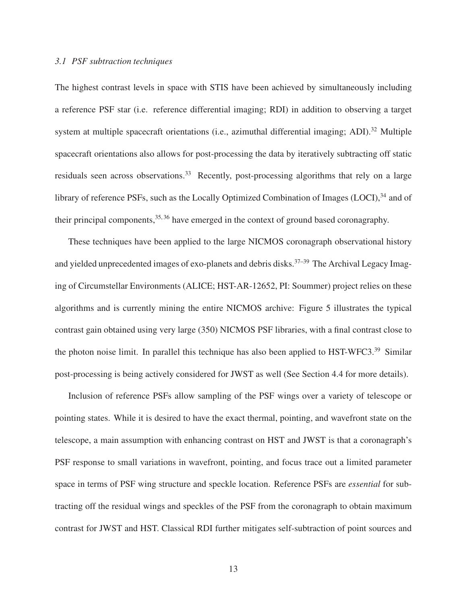#### *3.1 PSF subtraction techniques*

The highest contrast levels in space with STIS have been achieved by simultaneously including a reference PSF star (i.e. reference differential imaging; RDI) in addition to observing a target system at multiple spacecraft orientations (i.e., azimuthal differential imaging; ADI). $^{32}$  Multiple spacecraft orientations also allows for post-processing the data by iteratively subtracting off static residuals seen across observations.<sup>33</sup> Recently, post-processing algorithms that rely on a large library of reference PSFs, such as the Locally Optimized Combination of Images  $(LOCI)$ <sup>34</sup>, and of their principal components,  $35, 36$  have emerged in the context of ground based coronagraphy.

These techniques have been applied to the large NICMOS coronagraph observational history and yielded unprecedented images of exo-planets and debris disks.<sup>37-39</sup> The Archival Legacy Imaging of Circumstellar Environments (ALICE; HST-AR-12652, PI: Soummer) project relies on these algorithms and is currently mining the entire NICMOS archive: Figure 5 illustrates the typical contrast gain obtained using very large (350) NICMOS PSF libraries, with a final contrast close to the photon noise limit. In parallel this technique has also been applied to HST-WFC3.<sup>39</sup> Similar post-processing is being actively considered for JWST as well (See Section 4.4 for more details).

Inclusion of reference PSFs allow sampling of the PSF wings over a variety of telescope or pointing states. While it is desired to have the exact thermal, pointing, and wavefront state on the telescope, a main assumption with enhancing contrast on HST and JWST is that a coronagraph's PSF response to small variations in wavefront, pointing, and focus trace out a limited parameter space in terms of PSF wing structure and speckle location. Reference PSFs are *essential* for subtracting off the residual wings and speckles of the PSF from the coronagraph to obtain maximum contrast for JWST and HST. Classical RDI further mitigates self-subtraction of point sources and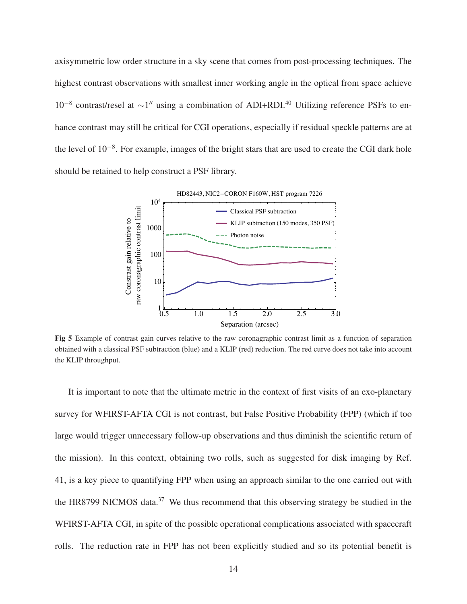axisymmetric low order structure in a sky scene that comes from post-processing techniques. The highest contrast observations with smallest inner working angle in the optical from space achieve 10<sup>-8</sup> contrast/resel at ~1" using a combination of ADI+RDI.<sup>40</sup> Utilizing reference PSFs to enhance contrast may still be critical for CGI operations, especially if residual speckle patterns are at the level of 10<sup>-8</sup>. For example, images of the bright stars that are used to create the CGI dark hole should be retained to help construct a PSF library.



Fig 5 Example of contrast gain curves relative to the raw coronagraphic contrast limit as a function of separation obtained with a classical PSF subtraction (blue) and a KLIP (red) reduction. The red curve does not take into account the KLIP throughput.

It is important to note that the ultimate metric in the context of first visits of an exo-planetary survey for WFIRST-AFTA CGI is not contrast, but False Positive Probability (FPP) (which if too large would trigger unnecessary follow-up observations and thus diminish the scientific return of the mission). In this context, obtaining two rolls, such as suggested for disk imaging by Ref. 41, is a key piece to quantifying FPP when using an approach similar to the one carried out with the HR8799 NICMOS data.<sup>37</sup> We thus recommend that this observing strategy be studied in the WFIRST-AFTA CGI, in spite of the possible operational complications associated with spacecraft rolls. The reduction rate in FPP has not been explicitly studied and so its potential benefit is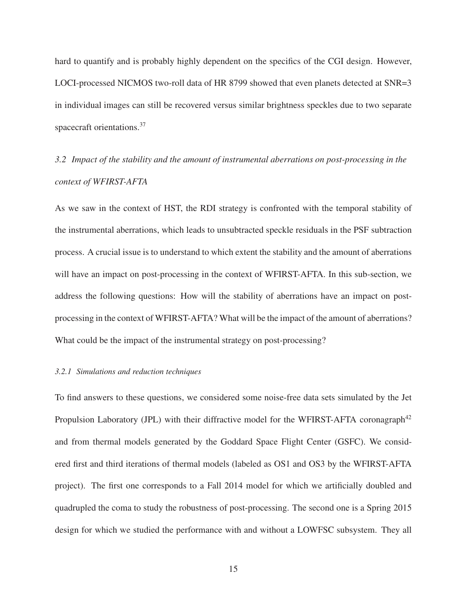hard to quantify and is probably highly dependent on the specifics of the CGI design. However, LOCI-processed NICMOS two-roll data of HR 8799 showed that even planets detected at SNR=3 in individual images can still be recovered versus similar brightness speckles due to two separate spacecraft orientations.<sup>37</sup>

# *3.2 Impact of the stability and the amount of instrumental aberrations on post-processing in the context of WFIRST-AFTA*

As we saw in the context of HST, the RDI strategy is confronted with the temporal stability of the instrumental aberrations, which leads to unsubtracted speckle residuals in the PSF subtraction process. A crucial issue is to understand to which extent the stability and the amount of aberrations will have an impact on post-processing in the context of WFIRST-AFTA. In this sub-section, we address the following questions: How will the stability of aberrations have an impact on postprocessing in the context of WFIRST-AFTA? What will be the impact of the amount of aberrations? What could be the impact of the instrumental strategy on post-processing?

#### *3.2.1 Simulations and reduction techniques*

To find answers to these questions, we considered some noise-free data sets simulated by the Jet Propulsion Laboratory (JPL) with their diffractive model for the WFIRST-AFTA coronagraph<sup>42</sup> and from thermal models generated by the Goddard Space Flight Center (GSFC). We considered first and third iterations of thermal models (labeled as OS1 and OS3 by the WFIRST-AFTA project). The first one corresponds to a Fall 2014 model for which we artificially doubled and quadrupled the coma to study the robustness of post-processing. The second one is a Spring 2015 design for which we studied the performance with and without a LOWFSC subsystem. They all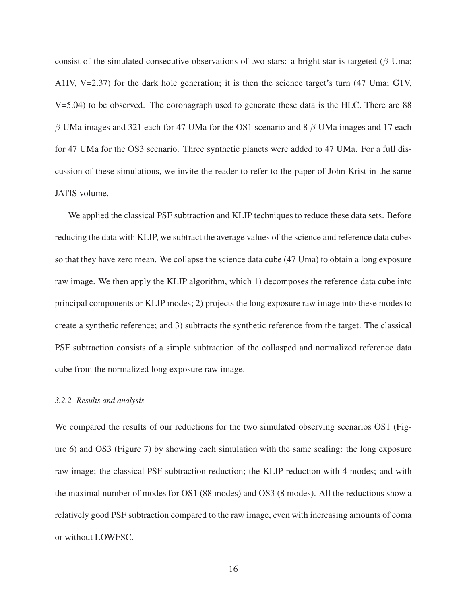consist of the simulated consecutive observations of two stars: a bright star is targeted ( $\beta$  Uma; A1IV, V=2.37) for the dark hole generation; it is then the science target's turn (47 Uma; G1V, V=5.04) to be observed. The coronagraph used to generate these data is the HLC. There are 88 β UMa images and 321 each for 47 UMa for the OS1 scenario and 8 β UMa images and 17 each for 47 UMa for the OS3 scenario. Three synthetic planets were added to 47 UMa. For a full discussion of these simulations, we invite the reader to refer to the paper of John Krist in the same JATIS volume.

We applied the classical PSF subtraction and KLIP techniques to reduce these data sets. Before reducing the data with KLIP, we subtract the average values of the science and reference data cubes so that they have zero mean. We collapse the science data cube (47 Uma) to obtain a long exposure raw image. We then apply the KLIP algorithm, which 1) decomposes the reference data cube into principal components or KLIP modes; 2) projects the long exposure raw image into these modes to create a synthetic reference; and 3) subtracts the synthetic reference from the target. The classical PSF subtraction consists of a simple subtraction of the collasped and normalized reference data cube from the normalized long exposure raw image.

#### *3.2.2 Results and analysis*

We compared the results of our reductions for the two simulated observing scenarios OS1 (Figure 6) and OS3 (Figure 7) by showing each simulation with the same scaling: the long exposure raw image; the classical PSF subtraction reduction; the KLIP reduction with 4 modes; and with the maximal number of modes for OS1 (88 modes) and OS3 (8 modes). All the reductions show a relatively good PSF subtraction compared to the raw image, even with increasing amounts of coma or without LOWFSC.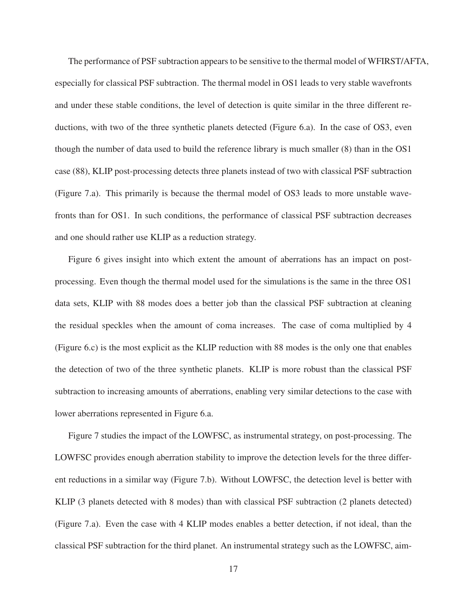The performance of PSF subtraction appears to be sensitive to the thermal model of WFIRST/AFTA, especially for classical PSF subtraction. The thermal model in OS1 leads to very stable wavefronts and under these stable conditions, the level of detection is quite similar in the three different reductions, with two of the three synthetic planets detected (Figure 6.a). In the case of OS3, even though the number of data used to build the reference library is much smaller (8) than in the OS1 case (88), KLIP post-processing detects three planets instead of two with classical PSF subtraction (Figure 7.a). This primarily is because the thermal model of OS3 leads to more unstable wavefronts than for OS1. In such conditions, the performance of classical PSF subtraction decreases and one should rather use KLIP as a reduction strategy.

Figure 6 gives insight into which extent the amount of aberrations has an impact on postprocessing. Even though the thermal model used for the simulations is the same in the three OS1 data sets, KLIP with 88 modes does a better job than the classical PSF subtraction at cleaning the residual speckles when the amount of coma increases. The case of coma multiplied by 4 (Figure 6.c) is the most explicit as the KLIP reduction with 88 modes is the only one that enables the detection of two of the three synthetic planets. KLIP is more robust than the classical PSF subtraction to increasing amounts of aberrations, enabling very similar detections to the case with lower aberrations represented in Figure 6.a.

Figure 7 studies the impact of the LOWFSC, as instrumental strategy, on post-processing. The LOWFSC provides enough aberration stability to improve the detection levels for the three different reductions in a similar way (Figure 7.b). Without LOWFSC, the detection level is better with KLIP (3 planets detected with 8 modes) than with classical PSF subtraction (2 planets detected) (Figure 7.a). Even the case with 4 KLIP modes enables a better detection, if not ideal, than the classical PSF subtraction for the third planet. An instrumental strategy such as the LOWFSC, aim-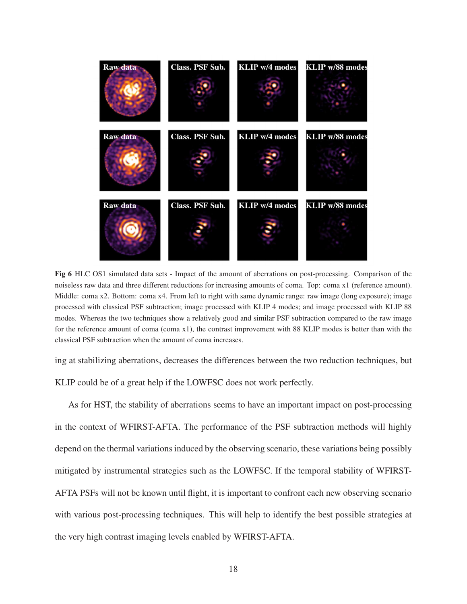

Fig 6 HLC OS1 simulated data sets - Impact of the amount of aberrations on post-processing. Comparison of the noiseless raw data and three different reductions for increasing amounts of coma. Top: coma x1 (reference amount). Middle: coma x2. Bottom: coma x4. From left to right with same dynamic range: raw image (long exposure); image processed with classical PSF subtraction; image processed with KLIP 4 modes; and image processed with KLIP 88 modes. Whereas the two techniques show a relatively good and similar PSF subtraction compared to the raw image for the reference amount of coma (coma x1), the contrast improvement with 88 KLIP modes is better than with the classical PSF subtraction when the amount of coma increases.

ing at stabilizing aberrations, decreases the differences between the two reduction techniques, but KLIP could be of a great help if the LOWFSC does not work perfectly.

As for HST, the stability of aberrations seems to have an important impact on post-processing in the context of WFIRST-AFTA. The performance of the PSF subtraction methods will highly depend on the thermal variations induced by the observing scenario, these variations being possibly mitigated by instrumental strategies such as the LOWFSC. If the temporal stability of WFIRST-AFTA PSFs will not be known until flight, it is important to confront each new observing scenario with various post-processing techniques. This will help to identify the best possible strategies at the very high contrast imaging levels enabled by WFIRST-AFTA.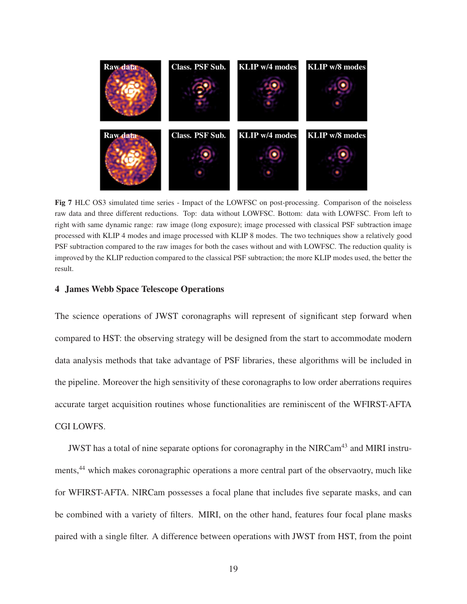

Fig 7 HLC OS3 simulated time series - Impact of the LOWFSC on post-processing. Comparison of the noiseless raw data and three different reductions. Top: data without LOWFSC. Bottom: data with LOWFSC. From left to right with same dynamic range: raw image (long exposure); image processed with classical PSF subtraction image processed with KLIP 4 modes and image processed with KLIP 8 modes. The two techniques show a relatively good PSF subtraction compared to the raw images for both the cases without and with LOWFSC. The reduction quality is improved by the KLIP reduction compared to the classical PSF subtraction; the more KLIP modes used, the better the result.

#### 4 James Webb Space Telescope Operations

The science operations of JWST coronagraphs will represent of significant step forward when compared to HST: the observing strategy will be designed from the start to accommodate modern data analysis methods that take advantage of PSF libraries, these algorithms will be included in the pipeline. Moreover the high sensitivity of these coronagraphs to low order aberrations requires accurate target acquisition routines whose functionalities are reminiscent of the WFIRST-AFTA CGI LOWFS.

JWST has a total of nine separate options for coronagraphy in the NIRCam<sup>43</sup> and MIRI instruments,<sup>44</sup> which makes coronagraphic operations a more central part of the observaotry, much like for WFIRST-AFTA. NIRCam possesses a focal plane that includes five separate masks, and can be combined with a variety of filters. MIRI, on the other hand, features four focal plane masks paired with a single filter. A difference between operations with JWST from HST, from the point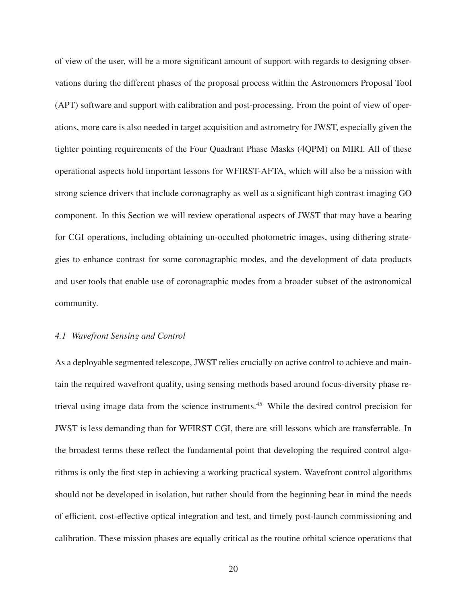of view of the user, will be a more significant amount of support with regards to designing observations during the different phases of the proposal process within the Astronomers Proposal Tool (APT) software and support with calibration and post-processing. From the point of view of operations, more care is also needed in target acquisition and astrometry for JWST, especially given the tighter pointing requirements of the Four Quadrant Phase Masks (4QPM) on MIRI. All of these operational aspects hold important lessons for WFIRST-AFTA, which will also be a mission with strong science drivers that include coronagraphy as well as a significant high contrast imaging GO component. In this Section we will review operational aspects of JWST that may have a bearing for CGI operations, including obtaining un-occulted photometric images, using dithering strategies to enhance contrast for some coronagraphic modes, and the development of data products and user tools that enable use of coronagraphic modes from a broader subset of the astronomical community.

#### *4.1 Wavefront Sensing and Control*

As a deployable segmented telescope, JWST relies crucially on active control to achieve and maintain the required wavefront quality, using sensing methods based around focus-diversity phase retrieval using image data from the science instruments.<sup>45</sup> While the desired control precision for JWST is less demanding than for WFIRST CGI, there are still lessons which are transferrable. In the broadest terms these reflect the fundamental point that developing the required control algorithms is only the first step in achieving a working practical system. Wavefront control algorithms should not be developed in isolation, but rather should from the beginning bear in mind the needs of efficient, cost-effective optical integration and test, and timely post-launch commissioning and calibration. These mission phases are equally critical as the routine orbital science operations that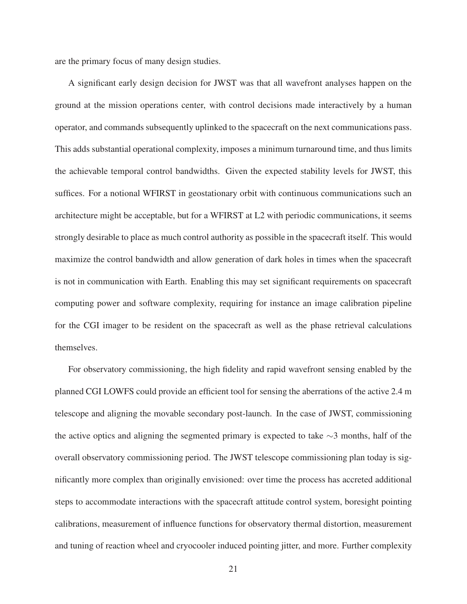are the primary focus of many design studies.

A significant early design decision for JWST was that all wavefront analyses happen on the ground at the mission operations center, with control decisions made interactively by a human operator, and commands subsequently uplinked to the spacecraft on the next communications pass. This adds substantial operational complexity, imposes a minimum turnaround time, and thus limits the achievable temporal control bandwidths. Given the expected stability levels for JWST, this suffices. For a notional WFIRST in geostationary orbit with continuous communications such an architecture might be acceptable, but for a WFIRST at L2 with periodic communications, it seems strongly desirable to place as much control authority as possible in the spacecraft itself. This would maximize the control bandwidth and allow generation of dark holes in times when the spacecraft is not in communication with Earth. Enabling this may set significant requirements on spacecraft computing power and software complexity, requiring for instance an image calibration pipeline for the CGI imager to be resident on the spacecraft as well as the phase retrieval calculations themselves.

For observatory commissioning, the high fidelity and rapid wavefront sensing enabled by the planned CGI LOWFS could provide an efficient tool for sensing the aberrations of the active 2.4 m telescope and aligning the movable secondary post-launch. In the case of JWST, commissioning the active optics and aligning the segmented primary is expected to take ∼3 months, half of the overall observatory commissioning period. The JWST telescope commissioning plan today is significantly more complex than originally envisioned: over time the process has accreted additional steps to accommodate interactions with the spacecraft attitude control system, boresight pointing calibrations, measurement of influence functions for observatory thermal distortion, measurement and tuning of reaction wheel and cryocooler induced pointing jitter, and more. Further complexity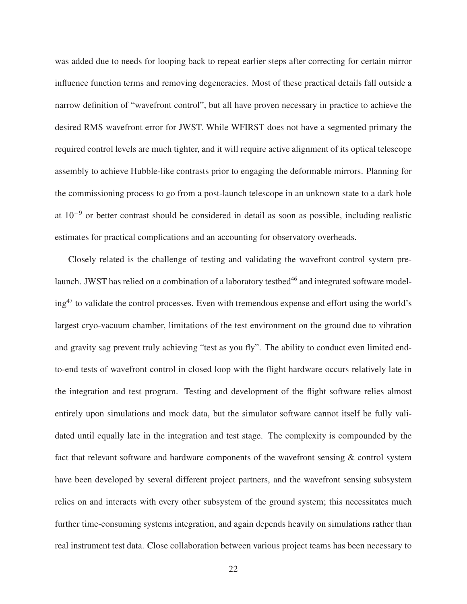was added due to needs for looping back to repeat earlier steps after correcting for certain mirror influence function terms and removing degeneracies. Most of these practical details fall outside a narrow definition of "wavefront control", but all have proven necessary in practice to achieve the desired RMS wavefront error for JWST. While WFIRST does not have a segmented primary the required control levels are much tighter, and it will require active alignment of its optical telescope assembly to achieve Hubble-like contrasts prior to engaging the deformable mirrors. Planning for the commissioning process to go from a post-launch telescope in an unknown state to a dark hole at 10<sup>−</sup><sup>9</sup> or better contrast should be considered in detail as soon as possible, including realistic estimates for practical complications and an accounting for observatory overheads.

Closely related is the challenge of testing and validating the wavefront control system prelaunch. JWST has relied on a combination of a laboratory testbed<sup>46</sup> and integrated software modeling<sup>47</sup> to validate the control processes. Even with tremendous expense and effort using the world's largest cryo-vacuum chamber, limitations of the test environment on the ground due to vibration and gravity sag prevent truly achieving "test as you fly". The ability to conduct even limited endto-end tests of wavefront control in closed loop with the flight hardware occurs relatively late in the integration and test program. Testing and development of the flight software relies almost entirely upon simulations and mock data, but the simulator software cannot itself be fully validated until equally late in the integration and test stage. The complexity is compounded by the fact that relevant software and hardware components of the wavefront sensing & control system have been developed by several different project partners, and the wavefront sensing subsystem relies on and interacts with every other subsystem of the ground system; this necessitates much further time-consuming systems integration, and again depends heavily on simulations rather than real instrument test data. Close collaboration between various project teams has been necessary to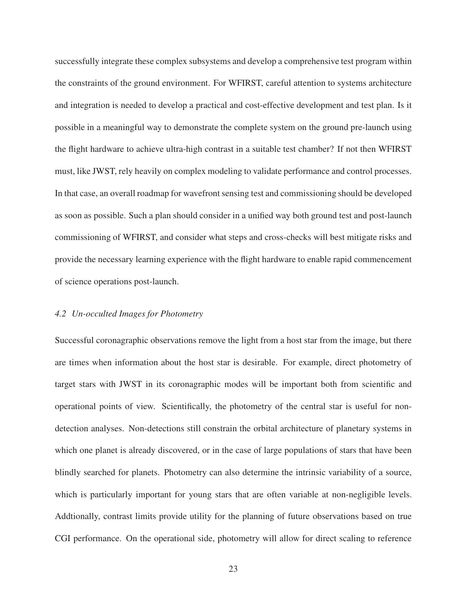successfully integrate these complex subsystems and develop a comprehensive test program within the constraints of the ground environment. For WFIRST, careful attention to systems architecture and integration is needed to develop a practical and cost-effective development and test plan. Is it possible in a meaningful way to demonstrate the complete system on the ground pre-launch using the flight hardware to achieve ultra-high contrast in a suitable test chamber? If not then WFIRST must, like JWST, rely heavily on complex modeling to validate performance and control processes. In that case, an overall roadmap for wavefront sensing test and commissioning should be developed as soon as possible. Such a plan should consider in a unified way both ground test and post-launch commissioning of WFIRST, and consider what steps and cross-checks will best mitigate risks and provide the necessary learning experience with the flight hardware to enable rapid commencement of science operations post-launch.

#### *4.2 Un-occulted Images for Photometry*

Successful coronagraphic observations remove the light from a host star from the image, but there are times when information about the host star is desirable. For example, direct photometry of target stars with JWST in its coronagraphic modes will be important both from scientific and operational points of view. Scientifically, the photometry of the central star is useful for nondetection analyses. Non-detections still constrain the orbital architecture of planetary systems in which one planet is already discovered, or in the case of large populations of stars that have been blindly searched for planets. Photometry can also determine the intrinsic variability of a source, which is particularly important for young stars that are often variable at non-negligible levels. Addtionally, contrast limits provide utility for the planning of future observations based on true CGI performance. On the operational side, photometry will allow for direct scaling to reference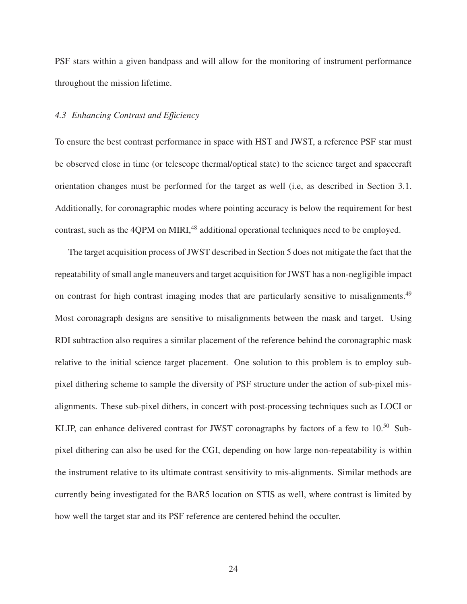PSF stars within a given bandpass and will allow for the monitoring of instrument performance throughout the mission lifetime.

#### *4.3 Enhancing Contrast and Efficiency*

To ensure the best contrast performance in space with HST and JWST, a reference PSF star must be observed close in time (or telescope thermal/optical state) to the science target and spacecraft orientation changes must be performed for the target as well (i.e, as described in Section 3.1. Additionally, for coronagraphic modes where pointing accuracy is below the requirement for best contrast, such as the 4QPM on MIRI,<sup>48</sup> additional operational techniques need to be employed.

The target acquisition process of JWST described in Section 5 does not mitigate the fact that the repeatability of small angle maneuvers and target acquisition for JWST has a non-negligible impact on contrast for high contrast imaging modes that are particularly sensitive to misalignments.<sup>49</sup> Most coronagraph designs are sensitive to misalignments between the mask and target. Using RDI subtraction also requires a similar placement of the reference behind the coronagraphic mask relative to the initial science target placement. One solution to this problem is to employ subpixel dithering scheme to sample the diversity of PSF structure under the action of sub-pixel misalignments. These sub-pixel dithers, in concert with post-processing techniques such as LOCI or KLIP, can enhance delivered contrast for JWST coronagraphs by factors of a few to 10.<sup>50</sup> Subpixel dithering can also be used for the CGI, depending on how large non-repeatability is within the instrument relative to its ultimate contrast sensitivity to mis-alignments. Similar methods are currently being investigated for the BAR5 location on STIS as well, where contrast is limited by how well the target star and its PSF reference are centered behind the occulter.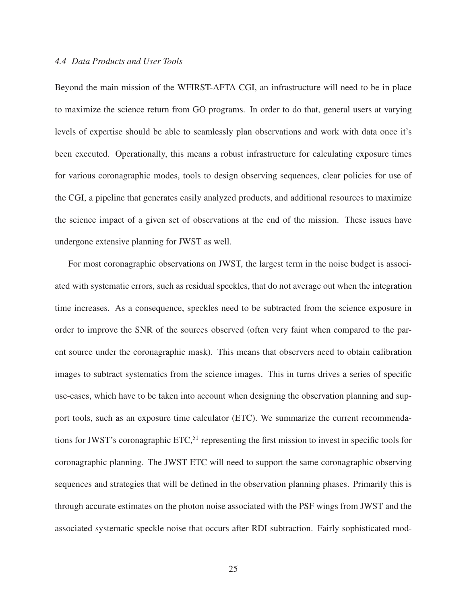#### *4.4 Data Products and User Tools*

Beyond the main mission of the WFIRST-AFTA CGI, an infrastructure will need to be in place to maximize the science return from GO programs. In order to do that, general users at varying levels of expertise should be able to seamlessly plan observations and work with data once it's been executed. Operationally, this means a robust infrastructure for calculating exposure times for various coronagraphic modes, tools to design observing sequences, clear policies for use of the CGI, a pipeline that generates easily analyzed products, and additional resources to maximize the science impact of a given set of observations at the end of the mission. These issues have undergone extensive planning for JWST as well.

For most coronagraphic observations on JWST, the largest term in the noise budget is associated with systematic errors, such as residual speckles, that do not average out when the integration time increases. As a consequence, speckles need to be subtracted from the science exposure in order to improve the SNR of the sources observed (often very faint when compared to the parent source under the coronagraphic mask). This means that observers need to obtain calibration images to subtract systematics from the science images. This in turns drives a series of specific use-cases, which have to be taken into account when designing the observation planning and support tools, such as an exposure time calculator (ETC). We summarize the current recommendations for JWST's coronagraphic ETC,<sup>51</sup> representing the first mission to invest in specific tools for coronagraphic planning. The JWST ETC will need to support the same coronagraphic observing sequences and strategies that will be defined in the observation planning phases. Primarily this is through accurate estimates on the photon noise associated with the PSF wings from JWST and the associated systematic speckle noise that occurs after RDI subtraction. Fairly sophisticated mod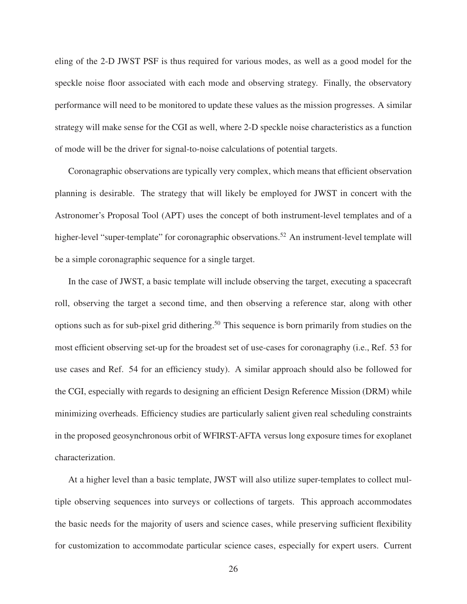eling of the 2-D JWST PSF is thus required for various modes, as well as a good model for the speckle noise floor associated with each mode and observing strategy. Finally, the observatory performance will need to be monitored to update these values as the mission progresses. A similar strategy will make sense for the CGI as well, where 2-D speckle noise characteristics as a function of mode will be the driver for signal-to-noise calculations of potential targets.

Coronagraphic observations are typically very complex, which means that efficient observation planning is desirable. The strategy that will likely be employed for JWST in concert with the Astronomer's Proposal Tool (APT) uses the concept of both instrument-level templates and of a higher-level "super-template" for coronagraphic observations.<sup>52</sup> An instrument-level template will be a simple coronagraphic sequence for a single target.

In the case of JWST, a basic template will include observing the target, executing a spacecraft roll, observing the target a second time, and then observing a reference star, along with other options such as for sub-pixel grid dithering.<sup>50</sup> This sequence is born primarily from studies on the most efficient observing set-up for the broadest set of use-cases for coronagraphy (i.e., Ref. 53 for use cases and Ref. 54 for an efficiency study). A similar approach should also be followed for the CGI, especially with regards to designing an efficient Design Reference Mission (DRM) while minimizing overheads. Efficiency studies are particularly salient given real scheduling constraints in the proposed geosynchronous orbit of WFIRST-AFTA versus long exposure times for exoplanet characterization.

At a higher level than a basic template, JWST will also utilize super-templates to collect multiple observing sequences into surveys or collections of targets. This approach accommodates the basic needs for the majority of users and science cases, while preserving sufficient flexibility for customization to accommodate particular science cases, especially for expert users. Current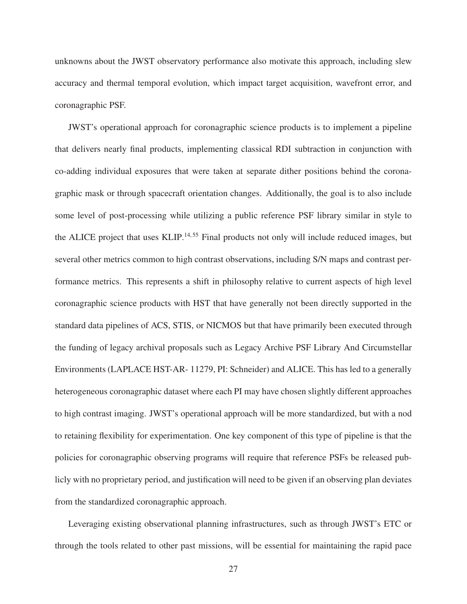unknowns about the JWST observatory performance also motivate this approach, including slew accuracy and thermal temporal evolution, which impact target acquisition, wavefront error, and coronagraphic PSF.

JWST's operational approach for coronagraphic science products is to implement a pipeline that delivers nearly final products, implementing classical RDI subtraction in conjunction with co-adding individual exposures that were taken at separate dither positions behind the coronagraphic mask or through spacecraft orientation changes. Additionally, the goal is to also include some level of post-processing while utilizing a public reference PSF library similar in style to the ALICE project that uses KLIP.<sup>14,55</sup> Final products not only will include reduced images, but several other metrics common to high contrast observations, including S/N maps and contrast performance metrics. This represents a shift in philosophy relative to current aspects of high level coronagraphic science products with HST that have generally not been directly supported in the standard data pipelines of ACS, STIS, or NICMOS but that have primarily been executed through the funding of legacy archival proposals such as Legacy Archive PSF Library And Circumstellar Environments (LAPLACE HST-AR- 11279, PI: Schneider) and ALICE. This has led to a generally heterogeneous coronagraphic dataset where each PI may have chosen slightly different approaches to high contrast imaging. JWST's operational approach will be more standardized, but with a nod to retaining flexibility for experimentation. One key component of this type of pipeline is that the policies for coronagraphic observing programs will require that reference PSFs be released publicly with no proprietary period, and justification will need to be given if an observing plan deviates from the standardized coronagraphic approach.

Leveraging existing observational planning infrastructures, such as through JWST's ETC or through the tools related to other past missions, will be essential for maintaining the rapid pace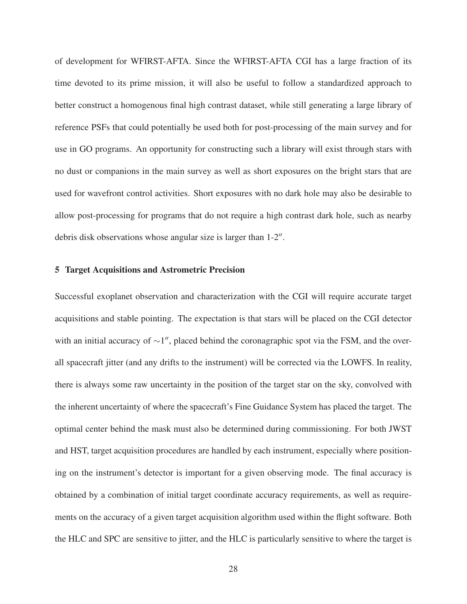of development for WFIRST-AFTA. Since the WFIRST-AFTA CGI has a large fraction of its time devoted to its prime mission, it will also be useful to follow a standardized approach to better construct a homogenous final high contrast dataset, while still generating a large library of reference PSFs that could potentially be used both for post-processing of the main survey and for use in GO programs. An opportunity for constructing such a library will exist through stars with no dust or companions in the main survey as well as short exposures on the bright stars that are used for wavefront control activities. Short exposures with no dark hole may also be desirable to allow post-processing for programs that do not require a high contrast dark hole, such as nearby debris disk observations whose angular size is larger than  $1-2''$ .

#### 5 Target Acquisitions and Astrometric Precision

Successful exoplanet observation and characterization with the CGI will require accurate target acquisitions and stable pointing. The expectation is that stars will be placed on the CGI detector with an initial accuracy of  $\sim$ 1", placed behind the coronagraphic spot via the FSM, and the overall spacecraft jitter (and any drifts to the instrument) will be corrected via the LOWFS. In reality, there is always some raw uncertainty in the position of the target star on the sky, convolved with the inherent uncertainty of where the spacecraft's Fine Guidance System has placed the target. The optimal center behind the mask must also be determined during commissioning. For both JWST and HST, target acquisition procedures are handled by each instrument, especially where positioning on the instrument's detector is important for a given observing mode. The final accuracy is obtained by a combination of initial target coordinate accuracy requirements, as well as requirements on the accuracy of a given target acquisition algorithm used within the flight software. Both the HLC and SPC are sensitive to jitter, and the HLC is particularly sensitive to where the target is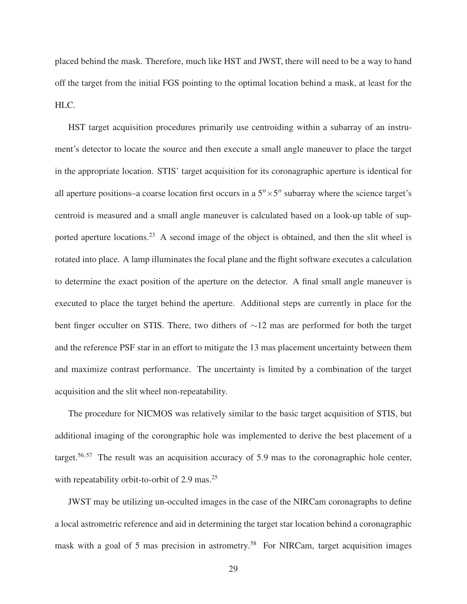placed behind the mask. Therefore, much like HST and JWST, there will need to be a way to hand off the target from the initial FGS pointing to the optimal location behind a mask, at least for the HLC.

HST target acquisition procedures primarily use centroiding within a subarray of an instrument's detector to locate the source and then execute a small angle maneuver to place the target in the appropriate location. STIS' target acquisition for its coronagraphic aperture is identical for all aperture positions–a coarse location first occurs in a  $5'' \times 5''$  subarray where the science target's centroid is measured and a small angle maneuver is calculated based on a look-up table of supported aperture locations.<sup>23</sup> A second image of the object is obtained, and then the slit wheel is rotated into place. A lamp illuminates the focal plane and the flight software executes a calculation to determine the exact position of the aperture on the detector. A final small angle maneuver is executed to place the target behind the aperture. Additional steps are currently in place for the bent finger occulter on STIS. There, two dithers of ∼12 mas are performed for both the target and the reference PSF star in an effort to mitigate the 13 mas placement uncertainty between them and maximize contrast performance. The uncertainty is limited by a combination of the target acquisition and the slit wheel non-repeatability.

The procedure for NICMOS was relatively similar to the basic target acquisition of STIS, but additional imaging of the corongraphic hole was implemented to derive the best placement of a target.<sup>56, 57</sup> The result was an acquisition accuracy of 5.9 mas to the coronagraphic hole center, with repeatability orbit-to-orbit of 2.9 mas. $25$ 

JWST may be utilizing un-occulted images in the case of the NIRCam coronagraphs to define a local astrometric reference and aid in determining the target star location behind a coronagraphic mask with a goal of 5 mas precision in astrometry.<sup>58</sup> For NIRCam, target acquisition images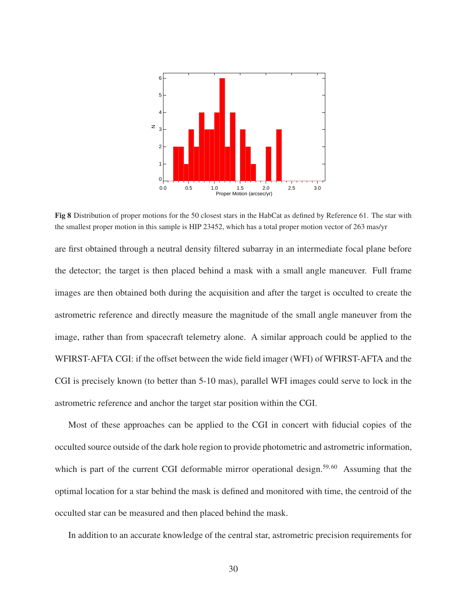

Fig 8 Distribution of proper motions for the 50 closest stars in the HabCat as defined by Reference 61. The star with the smallest proper motion in this sample is HIP 23452, which has a total proper motion vector of 263 mas/yr

are first obtained through a neutral density filtered subarray in an intermediate focal plane before the detector; the target is then placed behind a mask with a small angle maneuver. Full frame images are then obtained both during the acquisition and after the target is occulted to create the astrometric reference and directly measure the magnitude of the small angle maneuver from the image, rather than from spacecraft telemetry alone. A similar approach could be applied to the WFIRST-AFTA CGI: if the offset between the wide field imager (WFI) of WFIRST-AFTA and the CGI is precisely known (to better than 5-10 mas), parallel WFI images could serve to lock in the astrometric reference and anchor the target star position within the CGI.

Most of these approaches can be applied to the CGI in concert with fiducial copies of the occulted source outside of the dark hole region to provide photometric and astrometric information, which is part of the current CGI deformable mirror operational design.<sup>59,60</sup> Assuming that the optimal location for a star behind the mask is defined and monitored with time, the centroid of the occulted star can be measured and then placed behind the mask.

In addition to an accurate knowledge of the central star, astrometric precision requirements for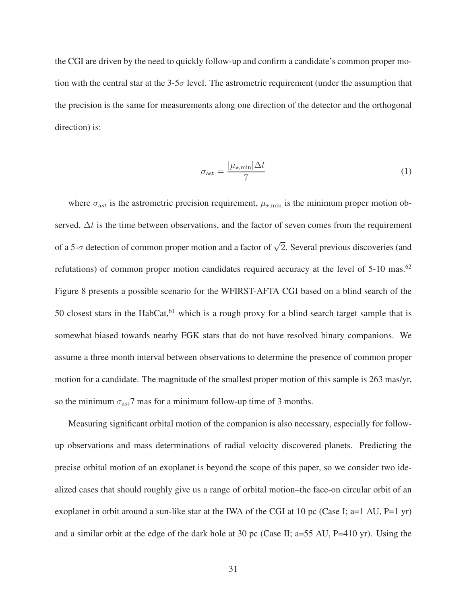the CGI are driven by the need to quickly follow-up and confirm a candidate's common proper motion with the central star at the  $3-5\sigma$  level. The astrometric requirement (under the assumption that the precision is the same for measurements along one direction of the detector and the orthogonal direction) is:

$$
\sigma_{\text{ast}} = \frac{|\mu_{\star,\text{min}}|\Delta t}{7} \tag{1}
$$

where  $\sigma_{\text{ast}}$  is the astrometric precision requirement,  $\mu_{\star,\text{min}}$  is the minimum proper motion observed,  $\Delta t$  is the time between observations, and the factor of seven comes from the requirement of a 5- $\sigma$  detection of common proper motion and a factor of  $\sqrt{2}$ . Several previous discoveries (and refutations) of common proper motion candidates required accuracy at the level of  $5{\text -}10$  mas.<sup>62</sup> Figure 8 presents a possible scenario for the WFIRST-AFTA CGI based on a blind search of the 50 closest stars in the HabCat, $61$  which is a rough proxy for a blind search target sample that is somewhat biased towards nearby FGK stars that do not have resolved binary companions. We assume a three month interval between observations to determine the presence of common proper motion for a candidate. The magnitude of the smallest proper motion of this sample is 263 mas/yr, so the minimum  $\sigma_{\text{ast}}$ 7 mas for a minimum follow-up time of 3 months.

Measuring significant orbital motion of the companion is also necessary, especially for followup observations and mass determinations of radial velocity discovered planets. Predicting the precise orbital motion of an exoplanet is beyond the scope of this paper, so we consider two idealized cases that should roughly give us a range of orbital motion–the face-on circular orbit of an exoplanet in orbit around a sun-like star at the IWA of the CGI at 10 pc (Case I; a=1 AU, P=1 yr) and a similar orbit at the edge of the dark hole at 30 pc (Case II; a=55 AU, P=410 yr). Using the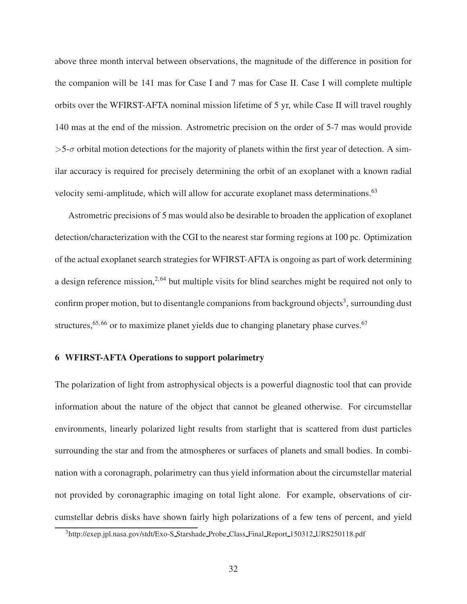above three month interval between observations, the magnitude of the difference in position for the companion will be 141 mas for Case I and 7 mas for Case II. Case I will complete multiple orbits over the WFIRST-AFTA nominal mission lifetime of 5 yr, while Case II will travel roughly 140 mas at the end of the mission. Astrometric precision on the order of 5-7 mas would provide  $>5$ - $\sigma$  orbital motion detections for the majority of planets within the first year of detection. A similar accuracy is required for precisely determining the orbit of an exoplanet with a known radial velocity semi-amplitude, which will allow for accurate exoplanet mass determinations.<sup>63</sup>

Astrometric precisions of 5 mas would also be desirable to broaden the application of exoplanet detection/characterization with the CGI to the nearest star forming regions at 100 pc. Optimization of the actual exoplanet search strategies for WFIRST-AFTA is ongoing as part of work determining a design reference mission,<sup>2,64</sup> but multiple visits for blind searches might be required not only to confirm proper motion, but to disentangle companions from background objects<sup>3</sup>, surrounding dust structures,  $65, 66$  or to maximize planet yields due to changing planetary phase curves.  $67$ 

#### 6 WFIRST-AFTA Operations to support polarimetry

The polarization of light from astrophysical objects is a powerful diagnostic tool that can provide information about the nature of the object that cannot be gleaned otherwise. For circumstellar environments, linearly polarized light results from starlight that is scattered from dust particles surrounding the star and from the atmospheres or surfaces of planets and small bodies. In combination with a coronagraph, polarimetry can thus yield information about the circumstellar material not provided by coronagraphic imaging on total light alone. For example, observations of circumstellar debris disks have shown fairly high polarizations of a few tens of percent, and yield

<sup>3</sup>http://exep.jpl.nasa.gov/stdt/Exo-S Starshade Probe Class Final Report 150312 URS250118.pdf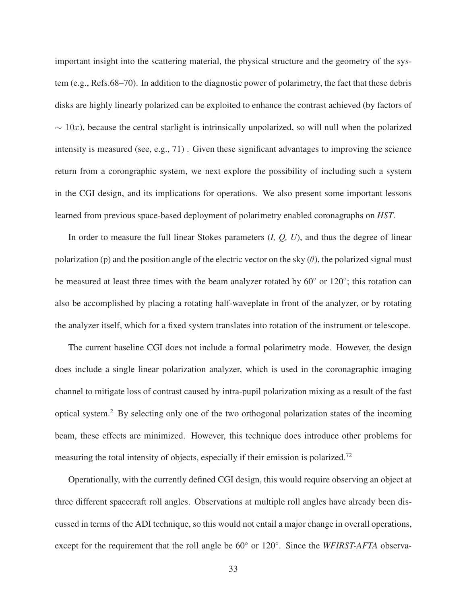important insight into the scattering material, the physical structure and the geometry of the system (e.g., Refs.68–70). In addition to the diagnostic power of polarimetry, the fact that these debris disks are highly linearly polarized can be exploited to enhance the contrast achieved (by factors of  $\sim 10x$ ), because the central starlight is intrinsically unpolarized, so will null when the polarized intensity is measured (see, e.g., 71) . Given these significant advantages to improving the science return from a corongraphic system, we next explore the possibility of including such a system in the CGI design, and its implications for operations. We also present some important lessons learned from previous space-based deployment of polarimetry enabled coronagraphs on *HST*.

In order to measure the full linear Stokes parameters (*I, Q, U*), and thus the degree of linear polarization (p) and the position angle of the electric vector on the sky  $(\theta)$ , the polarized signal must be measured at least three times with the beam analyzer rotated by 60° or 120°; this rotation can also be accomplished by placing a rotating half-waveplate in front of the analyzer, or by rotating the analyzer itself, which for a fixed system translates into rotation of the instrument or telescope.

The current baseline CGI does not include a formal polarimetry mode. However, the design does include a single linear polarization analyzer, which is used in the coronagraphic imaging channel to mitigate loss of contrast caused by intra-pupil polarization mixing as a result of the fast optical system.<sup>2</sup> By selecting only one of the two orthogonal polarization states of the incoming beam, these effects are minimized. However, this technique does introduce other problems for measuring the total intensity of objects, especially if their emission is polarized.<sup>72</sup>

Operationally, with the currently defined CGI design, this would require observing an object at three different spacecraft roll angles. Observations at multiple roll angles have already been discussed in terms of the ADI technique, so this would not entail a major change in overall operations, except for the requirement that the roll angle be  $60°$  or  $120°$ . Since the *WFIRST-AFTA* observa-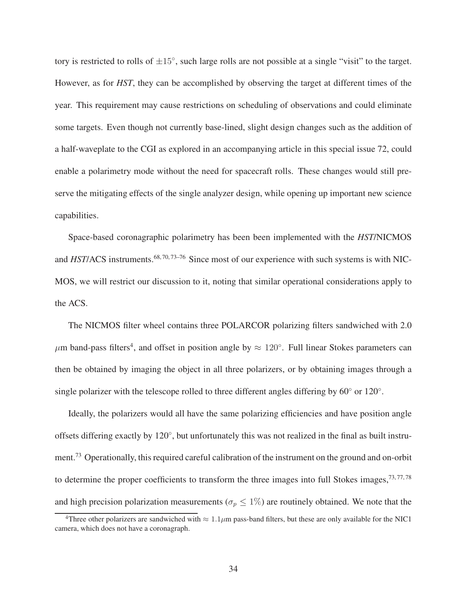tory is restricted to rolls of  $\pm 15^{\circ}$ , such large rolls are not possible at a single "visit" to the target. However, as for *HST*, they can be accomplished by observing the target at different times of the year. This requirement may cause restrictions on scheduling of observations and could eliminate some targets. Even though not currently base-lined, slight design changes such as the addition of a half-waveplate to the CGI as explored in an accompanying article in this special issue 72, could enable a polarimetry mode without the need for spacecraft rolls. These changes would still preserve the mitigating effects of the single analyzer design, while opening up important new science capabilities.

Space-based coronagraphic polarimetry has been been implemented with the *HST*/NICMOS and *HST*/ACS instruments.<sup>68, 70, 73-76</sup> Since most of our experience with such systems is with NIC-MOS, we will restrict our discussion to it, noting that similar operational considerations apply to the ACS.

The NICMOS filter wheel contains three POLARCOR polarizing filters sandwiched with 2.0  $\mu$ m band-pass filters<sup>4</sup>, and offset in position angle by  $\approx 120^{\circ}$ . Full linear Stokes parameters can then be obtained by imaging the object in all three polarizers, or by obtaining images through a single polarizer with the telescope rolled to three different angles differing by  $60°$  or  $120°$ .

Ideally, the polarizers would all have the same polarizing efficiencies and have position angle offsets differing exactly by 120°, but unfortunately this was not realized in the final as built instrument.<sup>73</sup> Operationally, this required careful calibration of the instrument on the ground and on-orbit to determine the proper coefficients to transform the three images into full Stokes images,  $73, 77, 78$ and high precision polarization measurements ( $\sigma_p \leq 1\%$ ) are routinely obtained. We note that the

<sup>&</sup>lt;sup>4</sup>Three other polarizers are sandwiched with  $\approx 1.1 \mu m$  pass-band filters, but these are only available for the NIC1 camera, which does not have a coronagraph.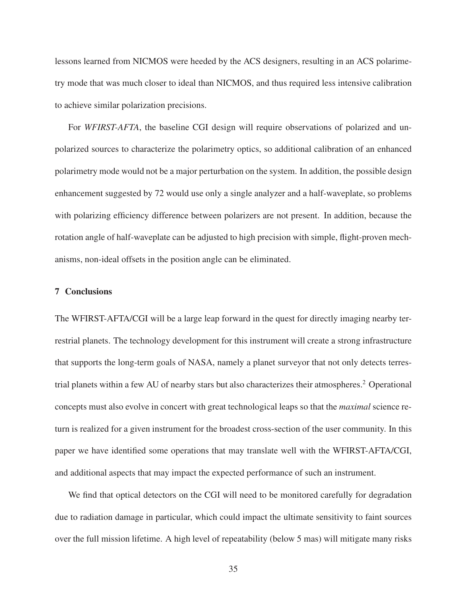lessons learned from NICMOS were heeded by the ACS designers, resulting in an ACS polarimetry mode that was much closer to ideal than NICMOS, and thus required less intensive calibration to achieve similar polarization precisions.

For *WFIRST-AFTA*, the baseline CGI design will require observations of polarized and unpolarized sources to characterize the polarimetry optics, so additional calibration of an enhanced polarimetry mode would not be a major perturbation on the system. In addition, the possible design enhancement suggested by 72 would use only a single analyzer and a half-waveplate, so problems with polarizing efficiency difference between polarizers are not present. In addition, because the rotation angle of half-waveplate can be adjusted to high precision with simple, flight-proven mechanisms, non-ideal offsets in the position angle can be eliminated.

### 7 Conclusions

The WFIRST-AFTA/CGI will be a large leap forward in the quest for directly imaging nearby terrestrial planets. The technology development for this instrument will create a strong infrastructure that supports the long-term goals of NASA, namely a planet surveyor that not only detects terrestrial planets within a few AU of nearby stars but also characterizes their atmospheres.<sup>2</sup> Operational concepts must also evolve in concert with great technological leaps so that the *maximal* science return is realized for a given instrument for the broadest cross-section of the user community. In this paper we have identified some operations that may translate well with the WFIRST-AFTA/CGI, and additional aspects that may impact the expected performance of such an instrument.

We find that optical detectors on the CGI will need to be monitored carefully for degradation due to radiation damage in particular, which could impact the ultimate sensitivity to faint sources over the full mission lifetime. A high level of repeatability (below 5 mas) will mitigate many risks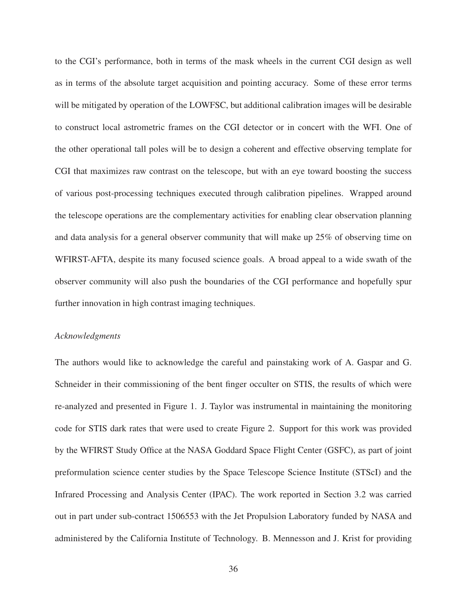to the CGI's performance, both in terms of the mask wheels in the current CGI design as well as in terms of the absolute target acquisition and pointing accuracy. Some of these error terms will be mitigated by operation of the LOWFSC, but additional calibration images will be desirable to construct local astrometric frames on the CGI detector or in concert with the WFI. One of the other operational tall poles will be to design a coherent and effective observing template for CGI that maximizes raw contrast on the telescope, but with an eye toward boosting the success of various post-processing techniques executed through calibration pipelines. Wrapped around the telescope operations are the complementary activities for enabling clear observation planning and data analysis for a general observer community that will make up 25% of observing time on WFIRST-AFTA, despite its many focused science goals. A broad appeal to a wide swath of the observer community will also push the boundaries of the CGI performance and hopefully spur further innovation in high contrast imaging techniques.

#### *Acknowledgments*

The authors would like to acknowledge the careful and painstaking work of A. Gaspar and G. Schneider in their commissioning of the bent finger occulter on STIS, the results of which were re-analyzed and presented in Figure 1. J. Taylor was instrumental in maintaining the monitoring code for STIS dark rates that were used to create Figure 2. Support for this work was provided by the WFIRST Study Office at the NASA Goddard Space Flight Center (GSFC), as part of joint preformulation science center studies by the Space Telescope Science Institute (STScI) and the Infrared Processing and Analysis Center (IPAC). The work reported in Section 3.2 was carried out in part under sub-contract 1506553 with the Jet Propulsion Laboratory funded by NASA and administered by the California Institute of Technology. B. Mennesson and J. Krist for providing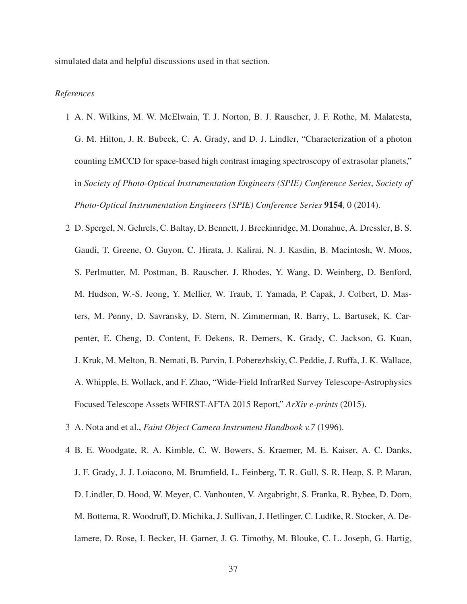simulated data and helpful discussions used in that section.

#### *References*

- 1 A. N. Wilkins, M. W. McElwain, T. J. Norton, B. J. Rauscher, J. F. Rothe, M. Malatesta, G. M. Hilton, J. R. Bubeck, C. A. Grady, and D. J. Lindler, "Characterization of a photon counting EMCCD for space-based high contrast imaging spectroscopy of extrasolar planets," in *Society of Photo-Optical Instrumentation Engineers (SPIE) Conference Series*, *Society of Photo-Optical Instrumentation Engineers (SPIE) Conference Series* 9154, 0 (2014).
- 2 D. Spergel, N. Gehrels, C. Baltay, D. Bennett, J. Breckinridge, M. Donahue, A. Dressler, B. S. Gaudi, T. Greene, O. Guyon, C. Hirata, J. Kalirai, N. J. Kasdin, B. Macintosh, W. Moos, S. Perlmutter, M. Postman, B. Rauscher, J. Rhodes, Y. Wang, D. Weinberg, D. Benford, M. Hudson, W.-S. Jeong, Y. Mellier, W. Traub, T. Yamada, P. Capak, J. Colbert, D. Masters, M. Penny, D. Savransky, D. Stern, N. Zimmerman, R. Barry, L. Bartusek, K. Carpenter, E. Cheng, D. Content, F. Dekens, R. Demers, K. Grady, C. Jackson, G. Kuan, J. Kruk, M. Melton, B. Nemati, B. Parvin, I. Poberezhskiy, C. Peddie, J. Ruffa, J. K. Wallace, A. Whipple, E. Wollack, and F. Zhao, "Wide-Field InfrarRed Survey Telescope-Astrophysics Focused Telescope Assets WFIRST-AFTA 2015 Report," *ArXiv e-prints* (2015).
- 3 A. Nota and et al., *Faint Object Camera Instrument Handbook v.7* (1996).
- 4 B. E. Woodgate, R. A. Kimble, C. W. Bowers, S. Kraemer, M. E. Kaiser, A. C. Danks, J. F. Grady, J. J. Loiacono, M. Brumfield, L. Feinberg, T. R. Gull, S. R. Heap, S. P. Maran, D. Lindler, D. Hood, W. Meyer, C. Vanhouten, V. Argabright, S. Franka, R. Bybee, D. Dorn, M. Bottema, R. Woodruff, D. Michika, J. Sullivan, J. Hetlinger, C. Ludtke, R. Stocker, A. Delamere, D. Rose, I. Becker, H. Garner, J. G. Timothy, M. Blouke, C. L. Joseph, G. Hartig,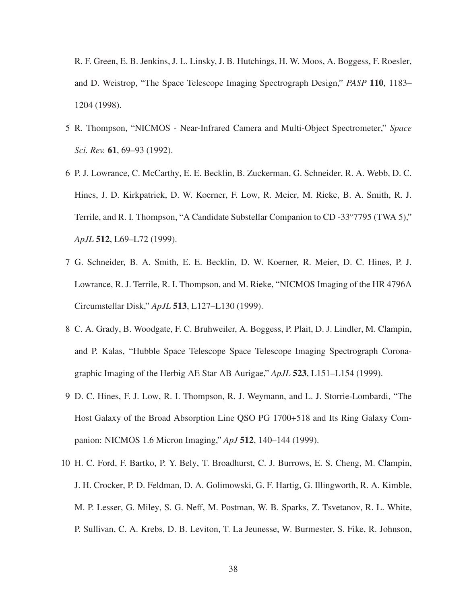R. F. Green, E. B. Jenkins, J. L. Linsky, J. B. Hutchings, H. W. Moos, A. Boggess, F. Roesler, and D. Weistrop, "The Space Telescope Imaging Spectrograph Design," *PASP* 110, 1183– 1204 (1998).

- 5 R. Thompson, "NICMOS Near-Infrared Camera and Multi-Object Spectrometer," *Space Sci. Rev.* 61, 69–93 (1992).
- 6 P. J. Lowrance, C. McCarthy, E. E. Becklin, B. Zuckerman, G. Schneider, R. A. Webb, D. C. Hines, J. D. Kirkpatrick, D. W. Koerner, F. Low, R. Meier, M. Rieke, B. A. Smith, R. J. Terrile, and R. I. Thompson, "A Candidate Substellar Companion to CD -33◦7795 (TWA 5)," *ApJL* 512, L69–L72 (1999).
- 7 G. Schneider, B. A. Smith, E. E. Becklin, D. W. Koerner, R. Meier, D. C. Hines, P. J. Lowrance, R. J. Terrile, R. I. Thompson, and M. Rieke, "NICMOS Imaging of the HR 4796A Circumstellar Disk," *ApJL* 513, L127–L130 (1999).
- 8 C. A. Grady, B. Woodgate, F. C. Bruhweiler, A. Boggess, P. Plait, D. J. Lindler, M. Clampin, and P. Kalas, "Hubble Space Telescope Space Telescope Imaging Spectrograph Coronagraphic Imaging of the Herbig AE Star AB Aurigae," *ApJL* 523, L151–L154 (1999).
- 9 D. C. Hines, F. J. Low, R. I. Thompson, R. J. Weymann, and L. J. Storrie-Lombardi, "The Host Galaxy of the Broad Absorption Line QSO PG 1700+518 and Its Ring Galaxy Companion: NICMOS 1.6 Micron Imaging," *ApJ* 512, 140–144 (1999).
- 10 H. C. Ford, F. Bartko, P. Y. Bely, T. Broadhurst, C. J. Burrows, E. S. Cheng, M. Clampin, J. H. Crocker, P. D. Feldman, D. A. Golimowski, G. F. Hartig, G. Illingworth, R. A. Kimble, M. P. Lesser, G. Miley, S. G. Neff, M. Postman, W. B. Sparks, Z. Tsvetanov, R. L. White, P. Sullivan, C. A. Krebs, D. B. Leviton, T. La Jeunesse, W. Burmester, S. Fike, R. Johnson,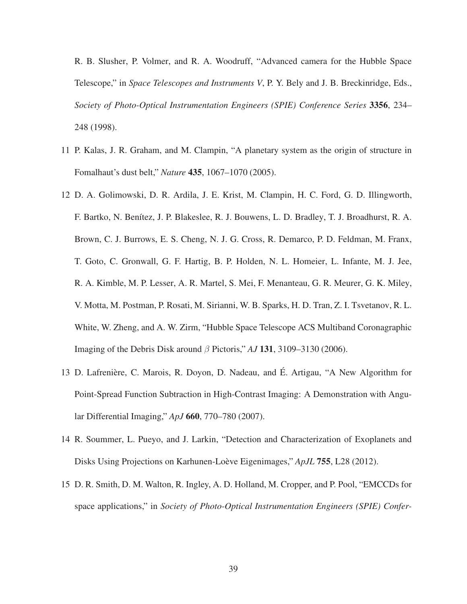R. B. Slusher, P. Volmer, and R. A. Woodruff, "Advanced camera for the Hubble Space Telescope," in *Space Telescopes and Instruments V*, P. Y. Bely and J. B. Breckinridge, Eds., *Society of Photo-Optical Instrumentation Engineers (SPIE) Conference Series* 3356, 234– 248 (1998).

- 11 P. Kalas, J. R. Graham, and M. Clampin, "A planetary system as the origin of structure in Fomalhaut's dust belt," *Nature* 435, 1067–1070 (2005).
- 12 D. A. Golimowski, D. R. Ardila, J. E. Krist, M. Clampin, H. C. Ford, G. D. Illingworth, F. Bartko, N. Benítez, J. P. Blakeslee, R. J. Bouwens, L. D. Bradley, T. J. Broadhurst, R. A. Brown, C. J. Burrows, E. S. Cheng, N. J. G. Cross, R. Demarco, P. D. Feldman, M. Franx, T. Goto, C. Gronwall, G. F. Hartig, B. P. Holden, N. L. Homeier, L. Infante, M. J. Jee, R. A. Kimble, M. P. Lesser, A. R. Martel, S. Mei, F. Menanteau, G. R. Meurer, G. K. Miley, V. Motta, M. Postman, P. Rosati, M. Sirianni, W. B. Sparks, H. D. Tran, Z. I. Tsvetanov, R. L. White, W. Zheng, and A. W. Zirm, "Hubble Space Telescope ACS Multiband Coronagraphic Imaging of the Debris Disk around β Pictoris," *AJ* 131, 3109–3130 (2006).
- 13 D. Lafrenière, C. Marois, R. Doyon, D. Nadeau, and É. Artigau, "A New Algorithm for Point-Spread Function Subtraction in High-Contrast Imaging: A Demonstration with Angular Differential Imaging," *ApJ* 660, 770–780 (2007).
- 14 R. Soummer, L. Pueyo, and J. Larkin, "Detection and Characterization of Exoplanets and Disks Using Projections on Karhunen-Loève Eigenimages," *ApJL* 755, L28 (2012).
- 15 D. R. Smith, D. M. Walton, R. Ingley, A. D. Holland, M. Cropper, and P. Pool, "EMCCDs for space applications," in *Society of Photo-Optical Instrumentation Engineers (SPIE) Confer-*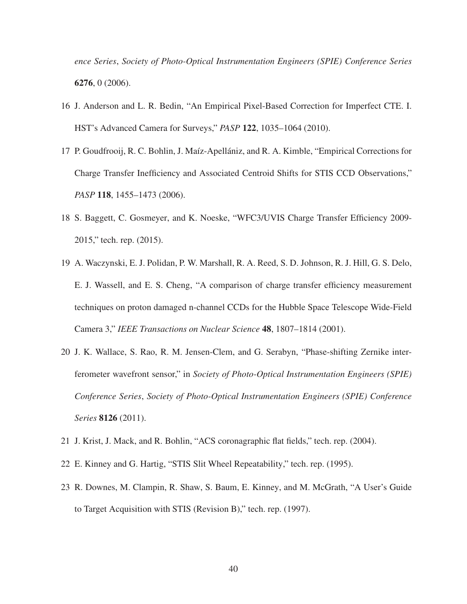*ence Series*, *Society of Photo-Optical Instrumentation Engineers (SPIE) Conference Series* 6276, 0 (2006).

- 16 J. Anderson and L. R. Bedin, "An Empirical Pixel-Based Correction for Imperfect CTE. I. HST's Advanced Camera for Surveys," *PASP* 122, 1035–1064 (2010).
- 17 P. Goudfrooij, R. C. Bohlin, J. Maíz-Apellániz, and R. A. Kimble, "Empirical Corrections for Charge Transfer Inefficiency and Associated Centroid Shifts for STIS CCD Observations," *PASP* 118, 1455–1473 (2006).
- 18 S. Baggett, C. Gosmeyer, and K. Noeske, "WFC3/UVIS Charge Transfer Efficiency 2009- 2015," tech. rep. (2015).
- 19 A. Waczynski, E. J. Polidan, P. W. Marshall, R. A. Reed, S. D. Johnson, R. J. Hill, G. S. Delo, E. J. Wassell, and E. S. Cheng, "A comparison of charge transfer efficiency measurement techniques on proton damaged n-channel CCDs for the Hubble Space Telescope Wide-Field Camera 3," *IEEE Transactions on Nuclear Science* 48, 1807–1814 (2001).
- 20 J. K. Wallace, S. Rao, R. M. Jensen-Clem, and G. Serabyn, "Phase-shifting Zernike interferometer wavefront sensor," in *Society of Photo-Optical Instrumentation Engineers (SPIE) Conference Series*, *Society of Photo-Optical Instrumentation Engineers (SPIE) Conference Series* 8126 (2011).
- 21 J. Krist, J. Mack, and R. Bohlin, "ACS coronagraphic flat fields," tech. rep. (2004).
- 22 E. Kinney and G. Hartig, "STIS Slit Wheel Repeatability," tech. rep. (1995).
- 23 R. Downes, M. Clampin, R. Shaw, S. Baum, E. Kinney, and M. McGrath, "A User's Guide to Target Acquisition with STIS (Revision B)," tech. rep. (1997).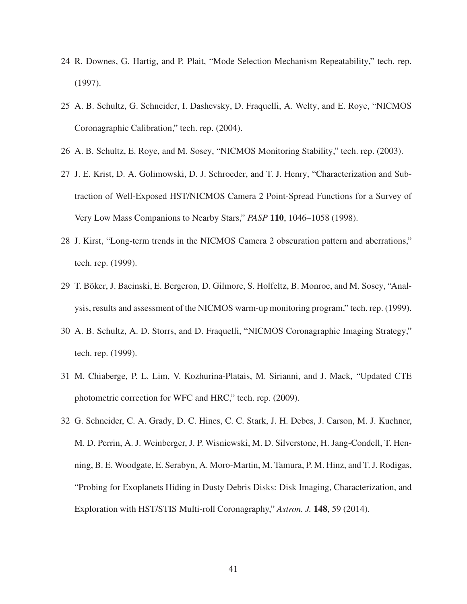- 24 R. Downes, G. Hartig, and P. Plait, "Mode Selection Mechanism Repeatability," tech. rep. (1997).
- 25 A. B. Schultz, G. Schneider, I. Dashevsky, D. Fraquelli, A. Welty, and E. Roye, "NICMOS Coronagraphic Calibration," tech. rep. (2004).
- 26 A. B. Schultz, E. Roye, and M. Sosey, "NICMOS Monitoring Stability," tech. rep. (2003).
- 27 J. E. Krist, D. A. Golimowski, D. J. Schroeder, and T. J. Henry, "Characterization and Subtraction of Well-Exposed HST/NICMOS Camera 2 Point-Spread Functions for a Survey of Very Low Mass Companions to Nearby Stars," *PASP* 110, 1046–1058 (1998).
- 28 J. Kirst, "Long-term trends in the NICMOS Camera 2 obscuration pattern and aberrations," tech. rep. (1999).
- 29 T. Böker, J. Bacinski, E. Bergeron, D. Gilmore, S. Holfeltz, B. Monroe, and M. Sosey, "Analysis, results and assessment of the NICMOS warm-up monitoring program," tech. rep. (1999).
- 30 A. B. Schultz, A. D. Storrs, and D. Fraquelli, "NICMOS Coronagraphic Imaging Strategy," tech. rep. (1999).
- 31 M. Chiaberge, P. L. Lim, V. Kozhurina-Platais, M. Sirianni, and J. Mack, "Updated CTE photometric correction for WFC and HRC," tech. rep. (2009).
- 32 G. Schneider, C. A. Grady, D. C. Hines, C. C. Stark, J. H. Debes, J. Carson, M. J. Kuchner, M. D. Perrin, A. J. Weinberger, J. P. Wisniewski, M. D. Silverstone, H. Jang-Condell, T. Henning, B. E. Woodgate, E. Serabyn, A. Moro-Martin, M. Tamura, P. M. Hinz, and T. J. Rodigas, "Probing for Exoplanets Hiding in Dusty Debris Disks: Disk Imaging, Characterization, and Exploration with HST/STIS Multi-roll Coronagraphy," *Astron. J.* 148, 59 (2014).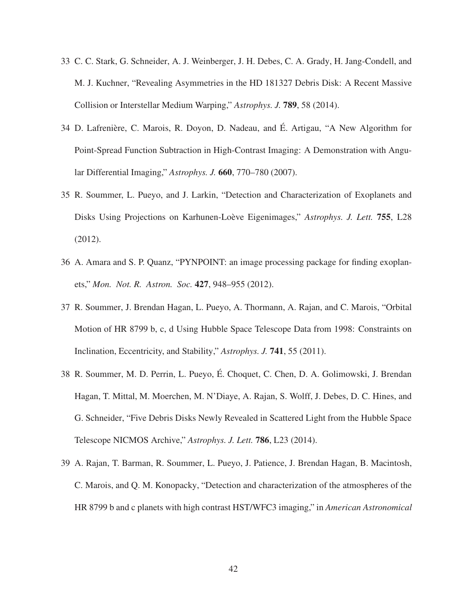- 33 C. C. Stark, G. Schneider, A. J. Weinberger, J. H. Debes, C. A. Grady, H. Jang-Condell, and M. J. Kuchner, "Revealing Asymmetries in the HD 181327 Debris Disk: A Recent Massive Collision or Interstellar Medium Warping," *Astrophys. J.* 789, 58 (2014).
- 34 D. Lafrenière, C. Marois, R. Doyon, D. Nadeau, and É. Artigau, "A New Algorithm for Point-Spread Function Subtraction in High-Contrast Imaging: A Demonstration with Angular Differential Imaging," *Astrophys. J.* 660, 770–780 (2007).
- 35 R. Soummer, L. Pueyo, and J. Larkin, "Detection and Characterization of Exoplanets and Disks Using Projections on Karhunen-Loève Eigenimages," *Astrophys. J. Lett.* **755**, L28 (2012).
- 36 A. Amara and S. P. Quanz, "PYNPOINT: an image processing package for finding exoplanets," *Mon. Not. R. Astron. Soc.* 427, 948–955 (2012).
- 37 R. Soummer, J. Brendan Hagan, L. Pueyo, A. Thormann, A. Rajan, and C. Marois, "Orbital Motion of HR 8799 b, c, d Using Hubble Space Telescope Data from 1998: Constraints on Inclination, Eccentricity, and Stability," *Astrophys. J.* 741, 55 (2011).
- 38 R. Soummer, M. D. Perrin, L. Pueyo, E. Choquet, C. Chen, D. A. Golimowski, J. Brendan ´ Hagan, T. Mittal, M. Moerchen, M. N'Diaye, A. Rajan, S. Wolff, J. Debes, D. C. Hines, and G. Schneider, "Five Debris Disks Newly Revealed in Scattered Light from the Hubble Space Telescope NICMOS Archive," *Astrophys. J. Lett.* 786, L23 (2014).
- 39 A. Rajan, T. Barman, R. Soummer, L. Pueyo, J. Patience, J. Brendan Hagan, B. Macintosh, C. Marois, and Q. M. Konopacky, "Detection and characterization of the atmospheres of the HR 8799 b and c planets with high contrast HST/WFC3 imaging," in *American Astronomical*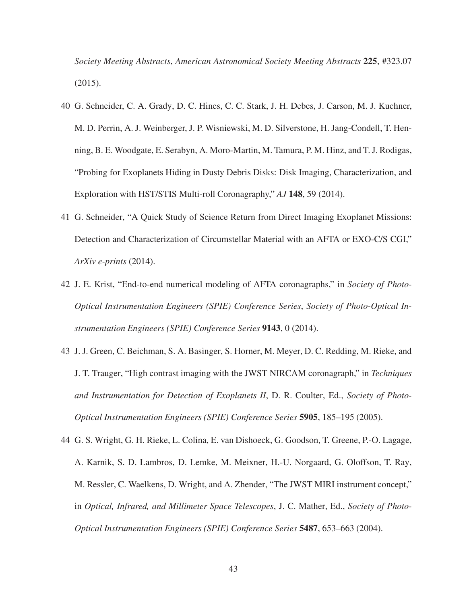*Society Meeting Abstracts*, *American Astronomical Society Meeting Abstracts* 225, #323.07 (2015).

- 40 G. Schneider, C. A. Grady, D. C. Hines, C. C. Stark, J. H. Debes, J. Carson, M. J. Kuchner, M. D. Perrin, A. J. Weinberger, J. P. Wisniewski, M. D. Silverstone, H. Jang-Condell, T. Henning, B. E. Woodgate, E. Serabyn, A. Moro-Martin, M. Tamura, P. M. Hinz, and T. J. Rodigas, "Probing for Exoplanets Hiding in Dusty Debris Disks: Disk Imaging, Characterization, and Exploration with HST/STIS Multi-roll Coronagraphy," *AJ* 148, 59 (2014).
- 41 G. Schneider, "A Quick Study of Science Return from Direct Imaging Exoplanet Missions: Detection and Characterization of Circumstellar Material with an AFTA or EXO-C/S CGI," *ArXiv e-prints* (2014).
- 42 J. E. Krist, "End-to-end numerical modeling of AFTA coronagraphs," in *Society of Photo-Optical Instrumentation Engineers (SPIE) Conference Series*, *Society of Photo-Optical Instrumentation Engineers (SPIE) Conference Series* 9143, 0 (2014).
- 43 J. J. Green, C. Beichman, S. A. Basinger, S. Horner, M. Meyer, D. C. Redding, M. Rieke, and J. T. Trauger, "High contrast imaging with the JWST NIRCAM coronagraph," in *Techniques and Instrumentation for Detection of Exoplanets II*, D. R. Coulter, Ed., *Society of Photo-Optical Instrumentation Engineers (SPIE) Conference Series* 5905, 185–195 (2005).
- 44 G. S. Wright, G. H. Rieke, L. Colina, E. van Dishoeck, G. Goodson, T. Greene, P.-O. Lagage, A. Karnik, S. D. Lambros, D. Lemke, M. Meixner, H.-U. Norgaard, G. Oloffson, T. Ray, M. Ressler, C. Waelkens, D. Wright, and A. Zhender, "The JWST MIRI instrument concept," in *Optical, Infrared, and Millimeter Space Telescopes*, J. C. Mather, Ed., *Society of Photo-Optical Instrumentation Engineers (SPIE) Conference Series* 5487, 653–663 (2004).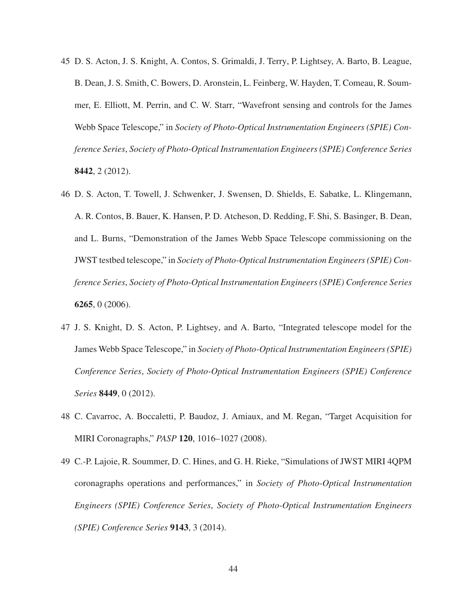- 45 D. S. Acton, J. S. Knight, A. Contos, S. Grimaldi, J. Terry, P. Lightsey, A. Barto, B. League, B. Dean, J. S. Smith, C. Bowers, D. Aronstein, L. Feinberg, W. Hayden, T. Comeau, R. Soummer, E. Elliott, M. Perrin, and C. W. Starr, "Wavefront sensing and controls for the James Webb Space Telescope," in *Society of Photo-Optical Instrumentation Engineers (SPIE) Conference Series*, *Society of Photo-Optical Instrumentation Engineers (SPIE) Conference Series* 8442, 2 (2012).
- 46 D. S. Acton, T. Towell, J. Schwenker, J. Swensen, D. Shields, E. Sabatke, L. Klingemann, A. R. Contos, B. Bauer, K. Hansen, P. D. Atcheson, D. Redding, F. Shi, S. Basinger, B. Dean, and L. Burns, "Demonstration of the James Webb Space Telescope commissioning on the JWST testbed telescope," in *Society of Photo-Optical Instrumentation Engineers (SPIE) Conference Series*, *Society of Photo-Optical Instrumentation Engineers (SPIE) Conference Series* 6265, 0 (2006).
- 47 J. S. Knight, D. S. Acton, P. Lightsey, and A. Barto, "Integrated telescope model for the James Webb Space Telescope," in *Society of Photo-Optical Instrumentation Engineers (SPIE) Conference Series*, *Society of Photo-Optical Instrumentation Engineers (SPIE) Conference Series* 8449, 0 (2012).
- 48 C. Cavarroc, A. Boccaletti, P. Baudoz, J. Amiaux, and M. Regan, "Target Acquisition for MIRI Coronagraphs," *PASP* 120, 1016–1027 (2008).
- 49 C.-P. Lajoie, R. Soummer, D. C. Hines, and G. H. Rieke, "Simulations of JWST MIRI 4QPM coronagraphs operations and performances," in *Society of Photo-Optical Instrumentation Engineers (SPIE) Conference Series*, *Society of Photo-Optical Instrumentation Engineers (SPIE) Conference Series* 9143, 3 (2014).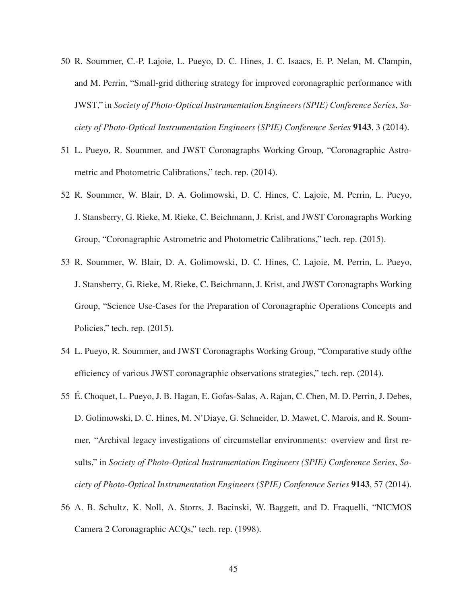- 50 R. Soummer, C.-P. Lajoie, L. Pueyo, D. C. Hines, J. C. Isaacs, E. P. Nelan, M. Clampin, and M. Perrin, "Small-grid dithering strategy for improved coronagraphic performance with JWST," in *Society of Photo-Optical Instrumentation Engineers (SPIE) Conference Series*, *Society of Photo-Optical Instrumentation Engineers (SPIE) Conference Series* 9143, 3 (2014).
- 51 L. Pueyo, R. Soummer, and JWST Coronagraphs Working Group, "Coronagraphic Astrometric and Photometric Calibrations," tech. rep. (2014).
- 52 R. Soummer, W. Blair, D. A. Golimowski, D. C. Hines, C. Lajoie, M. Perrin, L. Pueyo, J. Stansberry, G. Rieke, M. Rieke, C. Beichmann, J. Krist, and JWST Coronagraphs Working Group, "Coronagraphic Astrometric and Photometric Calibrations," tech. rep. (2015).
- 53 R. Soummer, W. Blair, D. A. Golimowski, D. C. Hines, C. Lajoie, M. Perrin, L. Pueyo, J. Stansberry, G. Rieke, M. Rieke, C. Beichmann, J. Krist, and JWST Coronagraphs Working Group, "Science Use-Cases for the Preparation of Coronagraphic Operations Concepts and Policies," tech. rep.  $(2015)$ .
- 54 L. Pueyo, R. Soummer, and JWST Coronagraphs Working Group, "Comparative study ofthe efficiency of various JWST coronagraphic observations strategies," tech. rep. (2014).
- 55 É. Choquet, L. Pueyo, J. B. Hagan, E. Gofas-Salas, A. Rajan, C. Chen, M. D. Perrin, J. Debes, D. Golimowski, D. C. Hines, M. N'Diaye, G. Schneider, D. Mawet, C. Marois, and R. Soummer, "Archival legacy investigations of circumstellar environments: overview and first results," in *Society of Photo-Optical Instrumentation Engineers (SPIE) Conference Series*, *Society of Photo-Optical Instrumentation Engineers (SPIE) Conference Series* 9143, 57 (2014).
- 56 A. B. Schultz, K. Noll, A. Storrs, J. Bacinski, W. Baggett, and D. Fraquelli, "NICMOS Camera 2 Coronagraphic ACQs," tech. rep. (1998).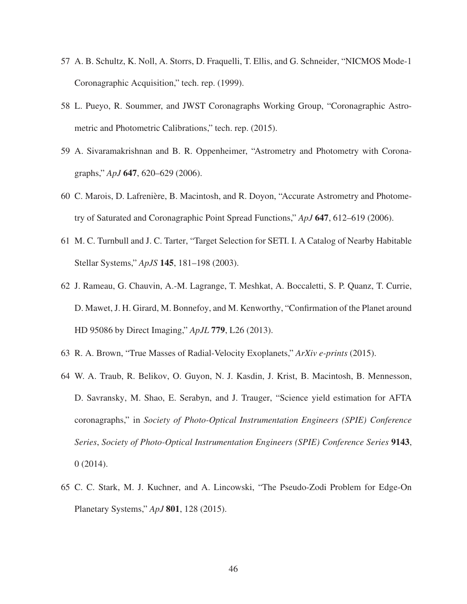- 57 A. B. Schultz, K. Noll, A. Storrs, D. Fraquelli, T. Ellis, and G. Schneider, "NICMOS Mode-1 Coronagraphic Acquisition," tech. rep. (1999).
- 58 L. Pueyo, R. Soummer, and JWST Coronagraphs Working Group, "Coronagraphic Astrometric and Photometric Calibrations," tech. rep. (2015).
- 59 A. Sivaramakrishnan and B. R. Oppenheimer, "Astrometry and Photometry with Coronagraphs," *ApJ* 647, 620–629 (2006).
- 60 C. Marois, D. Lafrenière, B. Macintosh, and R. Doyon, "Accurate Astrometry and Photometry of Saturated and Coronagraphic Point Spread Functions," *ApJ* 647, 612–619 (2006).
- 61 M. C. Turnbull and J. C. Tarter, "Target Selection for SETI. I. A Catalog of Nearby Habitable Stellar Systems," *ApJS* 145, 181–198 (2003).
- 62 J. Rameau, G. Chauvin, A.-M. Lagrange, T. Meshkat, A. Boccaletti, S. P. Quanz, T. Currie, D. Mawet, J. H. Girard, M. Bonnefoy, and M. Kenworthy, "Confirmation of the Planet around HD 95086 by Direct Imaging," *ApJL* 779, L26 (2013).
- 63 R. A. Brown, "True Masses of Radial-Velocity Exoplanets," *ArXiv e-prints* (2015).
- 64 W. A. Traub, R. Belikov, O. Guyon, N. J. Kasdin, J. Krist, B. Macintosh, B. Mennesson, D. Savransky, M. Shao, E. Serabyn, and J. Trauger, "Science yield estimation for AFTA coronagraphs," in *Society of Photo-Optical Instrumentation Engineers (SPIE) Conference Series*, *Society of Photo-Optical Instrumentation Engineers (SPIE) Conference Series* 9143, 0 (2014).
- 65 C. C. Stark, M. J. Kuchner, and A. Lincowski, "The Pseudo-Zodi Problem for Edge-On Planetary Systems," *ApJ* 801, 128 (2015).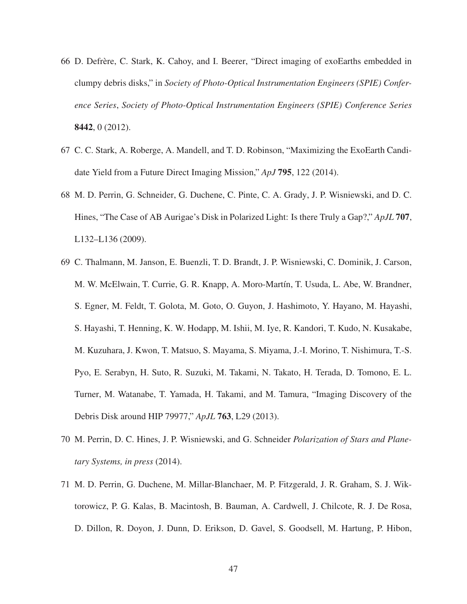- 66 D. Defrère, C. Stark, K. Cahoy, and I. Beerer, "Direct imaging of exoEarths embedded in clumpy debris disks," in *Society of Photo-Optical Instrumentation Engineers (SPIE) Conference Series*, *Society of Photo-Optical Instrumentation Engineers (SPIE) Conference Series* 8442, 0 (2012).
- 67 C. C. Stark, A. Roberge, A. Mandell, and T. D. Robinson, "Maximizing the ExoEarth Candidate Yield from a Future Direct Imaging Mission," *ApJ* 795, 122 (2014).
- 68 M. D. Perrin, G. Schneider, G. Duchene, C. Pinte, C. A. Grady, J. P. Wisniewski, and D. C. Hines, "The Case of AB Aurigae's Disk in Polarized Light: Is there Truly a Gap?," *ApJL* 707, L132–L136 (2009).
- 69 C. Thalmann, M. Janson, E. Buenzli, T. D. Brandt, J. P. Wisniewski, C. Dominik, J. Carson, M. W. McElwain, T. Currie, G. R. Knapp, A. Moro-Martín, T. Usuda, L. Abe, W. Brandner, S. Egner, M. Feldt, T. Golota, M. Goto, O. Guyon, J. Hashimoto, Y. Hayano, M. Hayashi, S. Hayashi, T. Henning, K. W. Hodapp, M. Ishii, M. Iye, R. Kandori, T. Kudo, N. Kusakabe, M. Kuzuhara, J. Kwon, T. Matsuo, S. Mayama, S. Miyama, J.-I. Morino, T. Nishimura, T.-S. Pyo, E. Serabyn, H. Suto, R. Suzuki, M. Takami, N. Takato, H. Terada, D. Tomono, E. L. Turner, M. Watanabe, T. Yamada, H. Takami, and M. Tamura, "Imaging Discovery of the Debris Disk around HIP 79977," *ApJL* 763, L29 (2013).
- 70 M. Perrin, D. C. Hines, J. P. Wisniewski, and G. Schneider *Polarization of Stars and Planetary Systems, in press* (2014).
- 71 M. D. Perrin, G. Duchene, M. Millar-Blanchaer, M. P. Fitzgerald, J. R. Graham, S. J. Wiktorowicz, P. G. Kalas, B. Macintosh, B. Bauman, A. Cardwell, J. Chilcote, R. J. De Rosa, D. Dillon, R. Doyon, J. Dunn, D. Erikson, D. Gavel, S. Goodsell, M. Hartung, P. Hibon,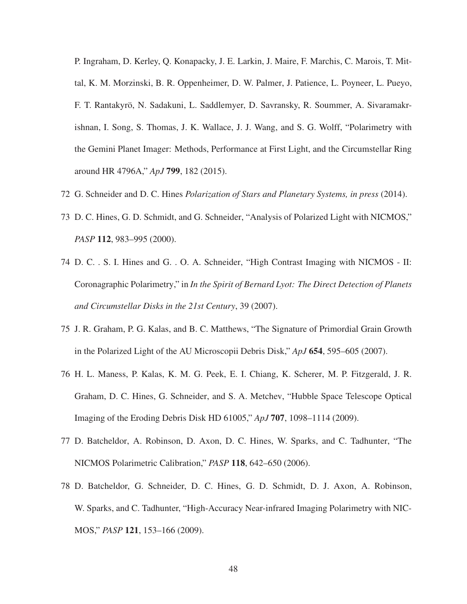P. Ingraham, D. Kerley, Q. Konapacky, J. E. Larkin, J. Maire, F. Marchis, C. Marois, T. Mittal, K. M. Morzinski, B. R. Oppenheimer, D. W. Palmer, J. Patience, L. Poyneer, L. Pueyo, F. T. Rantakyrö, N. Sadakuni, L. Saddlemyer, D. Savransky, R. Soummer, A. Sivaramakrishnan, I. Song, S. Thomas, J. K. Wallace, J. J. Wang, and S. G. Wolff, "Polarimetry with the Gemini Planet Imager: Methods, Performance at First Light, and the Circumstellar Ring around HR 4796A," *ApJ* 799, 182 (2015).

- 72 G. Schneider and D. C. Hines *Polarization of Stars and Planetary Systems, in press* (2014).
- 73 D. C. Hines, G. D. Schmidt, and G. Schneider, "Analysis of Polarized Light with NICMOS," *PASP* 112, 983–995 (2000).
- 74 D. C. . S. I. Hines and G. . O. A. Schneider, "High Contrast Imaging with NICMOS II: Coronagraphic Polarimetry," in *In the Spirit of Bernard Lyot: The Direct Detection of Planets and Circumstellar Disks in the 21st Century*, 39 (2007).
- 75 J. R. Graham, P. G. Kalas, and B. C. Matthews, "The Signature of Primordial Grain Growth in the Polarized Light of the AU Microscopii Debris Disk," *ApJ* 654, 595–605 (2007).
- 76 H. L. Maness, P. Kalas, K. M. G. Peek, E. I. Chiang, K. Scherer, M. P. Fitzgerald, J. R. Graham, D. C. Hines, G. Schneider, and S. A. Metchev, "Hubble Space Telescope Optical Imaging of the Eroding Debris Disk HD 61005," *ApJ* 707, 1098–1114 (2009).
- 77 D. Batcheldor, A. Robinson, D. Axon, D. C. Hines, W. Sparks, and C. Tadhunter, "The NICMOS Polarimetric Calibration," *PASP* 118, 642–650 (2006).
- 78 D. Batcheldor, G. Schneider, D. C. Hines, G. D. Schmidt, D. J. Axon, A. Robinson, W. Sparks, and C. Tadhunter, "High-Accuracy Near-infrared Imaging Polarimetry with NIC-MOS," *PASP* 121, 153–166 (2009).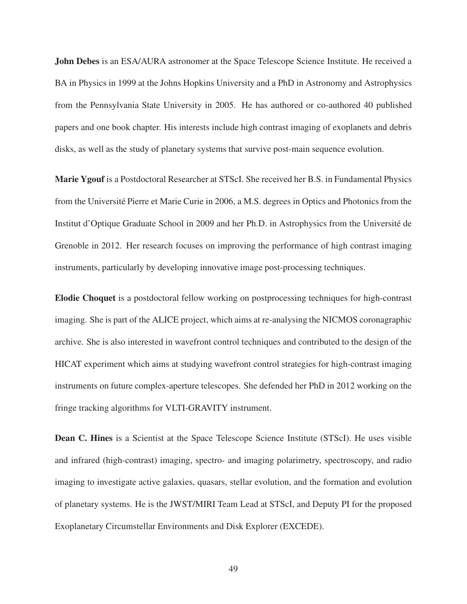John Debes is an ESA/AURA astronomer at the Space Telescope Science Institute. He received a BA in Physics in 1999 at the Johns Hopkins University and a PhD in Astronomy and Astrophysics from the Pennsylvania State University in 2005. He has authored or co-authored 40 published papers and one book chapter. His interests include high contrast imaging of exoplanets and debris disks, as well as the study of planetary systems that survive post-main sequence evolution.

Marie Ygouf is a Postdoctoral Researcher at STScI. She received her B.S. in Fundamental Physics from the Université Pierre et Marie Curie in 2006, a M.S. degrees in Optics and Photonics from the Institut d'Optique Graduate School in 2009 and her Ph.D. in Astrophysics from the Universit´e de Grenoble in 2012. Her research focuses on improving the performance of high contrast imaging instruments, particularly by developing innovative image post-processing techniques.

Elodie Choquet is a postdoctoral fellow working on postprocessing techniques for high-contrast imaging. She is part of the ALICE project, which aims at re-analysing the NICMOS coronagraphic archive. She is also interested in wavefront control techniques and contributed to the design of the HICAT experiment which aims at studying wavefront control strategies for high-contrast imaging instruments on future complex-aperture telescopes. She defended her PhD in 2012 working on the fringe tracking algorithms for VLTI-GRAVITY instrument.

Dean C. Hines is a Scientist at the Space Telescope Science Institute (STScI). He uses visible and infrared (high-contrast) imaging, spectro- and imaging polarimetry, spectroscopy, and radio imaging to investigate active galaxies, quasars, stellar evolution, and the formation and evolution of planetary systems. He is the JWST/MIRI Team Lead at STScI, and Deputy PI for the proposed Exoplanetary Circumstellar Environments and Disk Explorer (EXCEDE).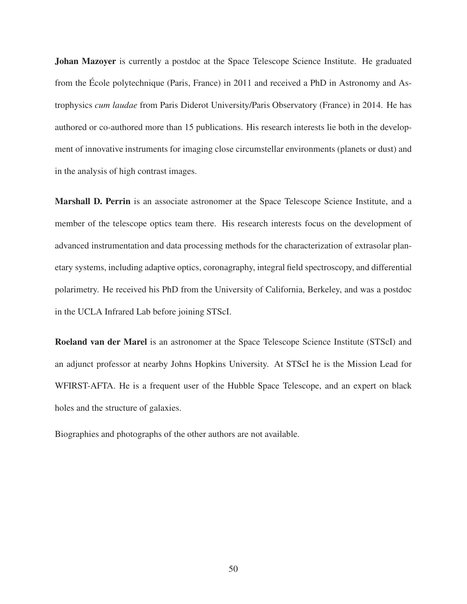Johan Mazoyer is currently a postdoc at the Space Telescope Science Institute. He graduated from the École polytechnique (Paris, France) in 2011 and received a PhD in Astronomy and Astrophysics *cum laudae* from Paris Diderot University/Paris Observatory (France) in 2014. He has authored or co-authored more than 15 publications. His research interests lie both in the development of innovative instruments for imaging close circumstellar environments (planets or dust) and in the analysis of high contrast images.

Marshall D. Perrin is an associate astronomer at the Space Telescope Science Institute, and a member of the telescope optics team there. His research interests focus on the development of advanced instrumentation and data processing methods for the characterization of extrasolar planetary systems, including adaptive optics, coronagraphy, integral field spectroscopy, and differential polarimetry. He received his PhD from the University of California, Berkeley, and was a postdoc in the UCLA Infrared Lab before joining STScI.

Roeland van der Marel is an astronomer at the Space Telescope Science Institute (STScI) and an adjunct professor at nearby Johns Hopkins University. At STScI he is the Mission Lead for WFIRST-AFTA. He is a frequent user of the Hubble Space Telescope, and an expert on black holes and the structure of galaxies.

Biographies and photographs of the other authors are not available.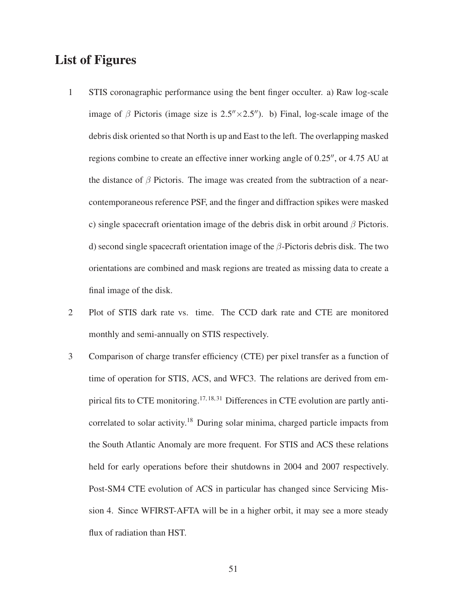### List of Figures

- 1 STIS coronagraphic performance using the bent finger occulter. a) Raw log-scale image of β Pictoris (image size is  $2.5'' \times 2.5''$ ). b) Final, log-scale image of the debris disk oriented so that North is up and East to the left. The overlapping masked regions combine to create an effective inner working angle of 0.25′′, or 4.75 AU at the distance of  $\beta$  Pictoris. The image was created from the subtraction of a nearcontemporaneous reference PSF, and the finger and diffraction spikes were masked c) single spacecraft orientation image of the debris disk in orbit around  $\beta$  Pictoris. d) second single spacecraft orientation image of the  $\beta$ -Pictoris debris disk. The two orientations are combined and mask regions are treated as missing data to create a final image of the disk.
- 2 Plot of STIS dark rate vs. time. The CCD dark rate and CTE are monitored monthly and semi-annually on STIS respectively.
- 3 Comparison of charge transfer efficiency (CTE) per pixel transfer as a function of time of operation for STIS, ACS, and WFC3. The relations are derived from empirical fits to CTE monitoring.<sup>17, 18, 31</sup> Differences in CTE evolution are partly anticorrelated to solar activity.<sup>18</sup> During solar minima, charged particle impacts from the South Atlantic Anomaly are more frequent. For STIS and ACS these relations held for early operations before their shutdowns in 2004 and 2007 respectively. Post-SM4 CTE evolution of ACS in particular has changed since Servicing Mission 4. Since WFIRST-AFTA will be in a higher orbit, it may see a more steady flux of radiation than HST.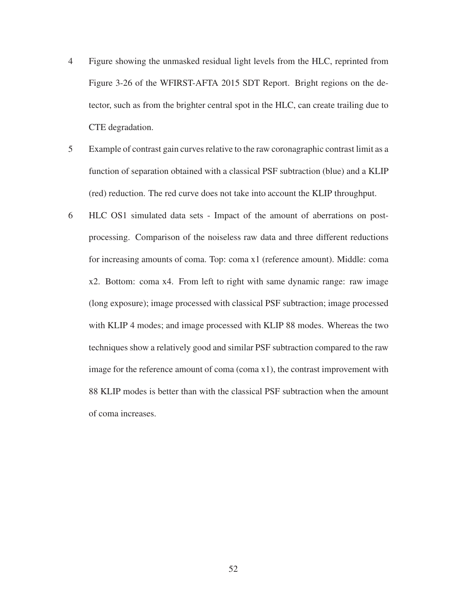- 4 Figure showing the unmasked residual light levels from the HLC, reprinted from Figure 3-26 of the WFIRST-AFTA 2015 SDT Report. Bright regions on the detector, such as from the brighter central spot in the HLC, can create trailing due to CTE degradation.
- 5 Example of contrast gain curves relative to the raw coronagraphic contrast limit as a function of separation obtained with a classical PSF subtraction (blue) and a KLIP (red) reduction. The red curve does not take into account the KLIP throughput.
- 6 HLC OS1 simulated data sets Impact of the amount of aberrations on postprocessing. Comparison of the noiseless raw data and three different reductions for increasing amounts of coma. Top: coma x1 (reference amount). Middle: coma x2. Bottom: coma x4. From left to right with same dynamic range: raw image (long exposure); image processed with classical PSF subtraction; image processed with KLIP 4 modes; and image processed with KLIP 88 modes. Whereas the two techniques show a relatively good and similar PSF subtraction compared to the raw image for the reference amount of coma (coma x1), the contrast improvement with 88 KLIP modes is better than with the classical PSF subtraction when the amount of coma increases.